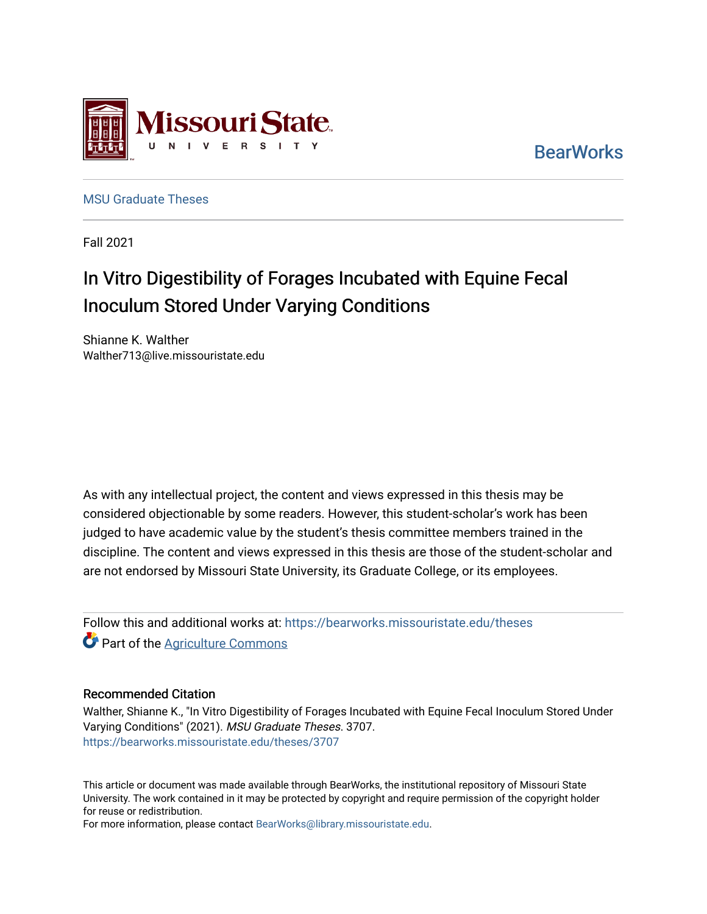

**BearWorks** 

[MSU Graduate Theses](https://bearworks.missouristate.edu/theses) 

Fall 2021

# In Vitro Digestibility of Forages Incubated with Equine Fecal Inoculum Stored Under Varying Conditions

Shianne K. Walther Walther713@live.missouristate.edu

As with any intellectual project, the content and views expressed in this thesis may be considered objectionable by some readers. However, this student-scholar's work has been judged to have academic value by the student's thesis committee members trained in the discipline. The content and views expressed in this thesis are those of the student-scholar and are not endorsed by Missouri State University, its Graduate College, or its employees.

Follow this and additional works at: [https://bearworks.missouristate.edu/theses](https://bearworks.missouristate.edu/theses?utm_source=bearworks.missouristate.edu%2Ftheses%2F3707&utm_medium=PDF&utm_campaign=PDFCoverPages)  **Part of the [Agriculture Commons](http://network.bepress.com/hgg/discipline/1076?utm_source=bearworks.missouristate.edu%2Ftheses%2F3707&utm_medium=PDF&utm_campaign=PDFCoverPages)** 

#### Recommended Citation

Walther, Shianne K., "In Vitro Digestibility of Forages Incubated with Equine Fecal Inoculum Stored Under Varying Conditions" (2021). MSU Graduate Theses. 3707. [https://bearworks.missouristate.edu/theses/3707](https://bearworks.missouristate.edu/theses/3707?utm_source=bearworks.missouristate.edu%2Ftheses%2F3707&utm_medium=PDF&utm_campaign=PDFCoverPages) 

This article or document was made available through BearWorks, the institutional repository of Missouri State University. The work contained in it may be protected by copyright and require permission of the copyright holder for reuse or redistribution.

For more information, please contact [BearWorks@library.missouristate.edu.](mailto:BearWorks@library.missouristate.edu)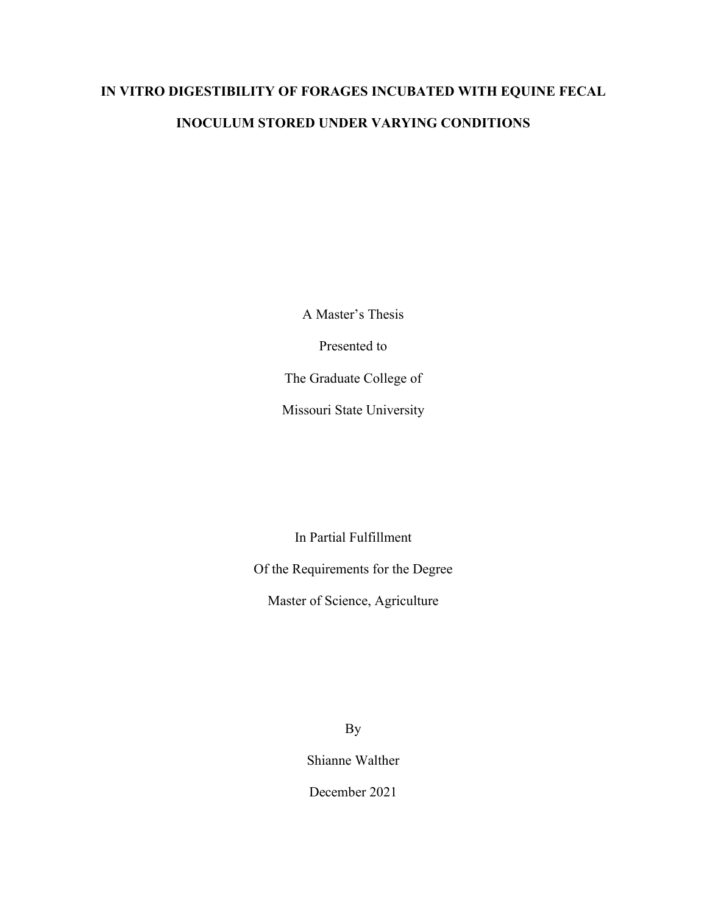# **IN VITRO DIGESTIBILITY OF FORAGES INCUBATED WITH EQUINE FECAL INOCULUM STORED UNDER VARYING CONDITIONS**

A Master's Thesis

Presented to

The Graduate College of

Missouri State University

In Partial Fulfillment

Of the Requirements for the Degree

Master of Science, Agriculture

By

Shianne Walther

December 2021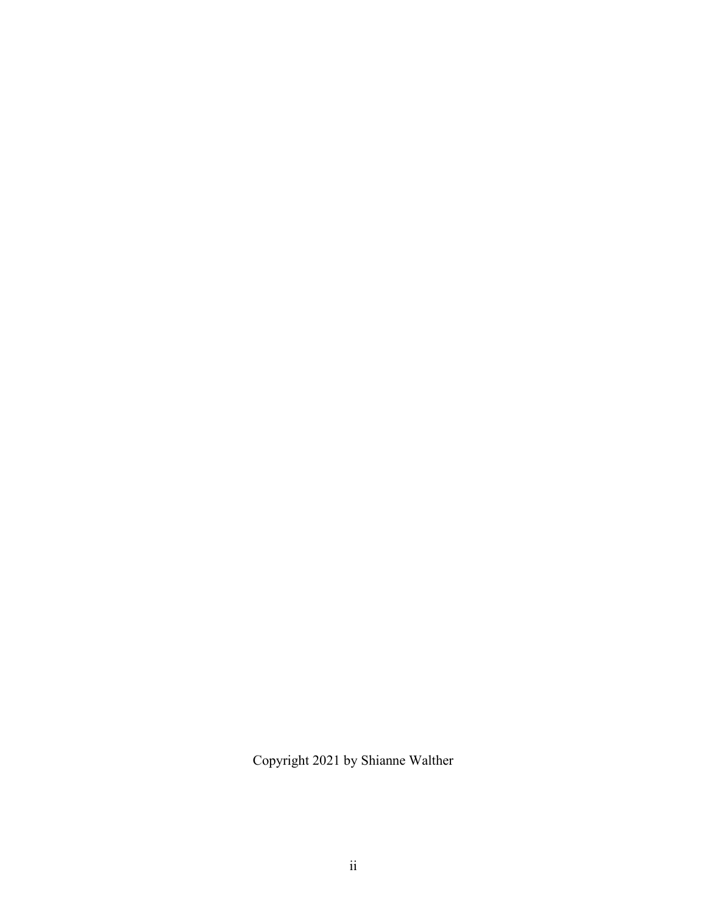Copyright 2021 by Shianne Walther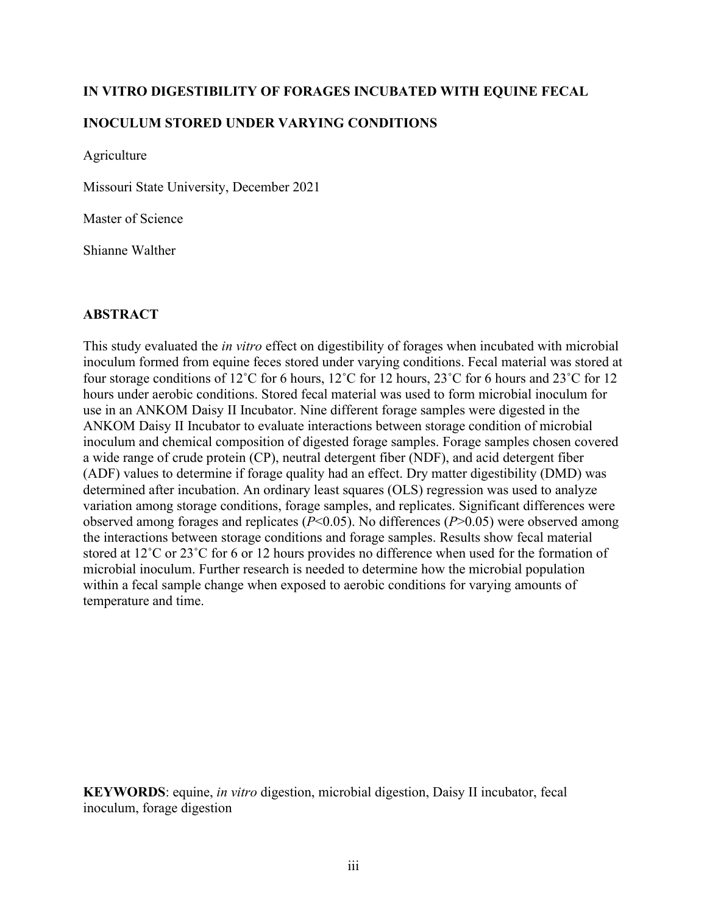# **IN VITRO DIGESTIBILITY OF FORAGES INCUBATED WITH EQUINE FECAL**

# **INOCULUM STORED UNDER VARYING CONDITIONS**

Agriculture

Missouri State University, December 2021

Master of Science

Shianne Walther

### **ABSTRACT**

This study evaluated the *in vitro* effect on digestibility of forages when incubated with microbial inoculum formed from equine feces stored under varying conditions. Fecal material was stored at four storage conditions of 12˚C for 6 hours, 12˚C for 12 hours, 23˚C for 6 hours and 23˚C for 12 hours under aerobic conditions. Stored fecal material was used to form microbial inoculum for use in an ANKOM Daisy II Incubator. Nine different forage samples were digested in the ANKOM Daisy II Incubator to evaluate interactions between storage condition of microbial inoculum and chemical composition of digested forage samples. Forage samples chosen covered a wide range of crude protein (CP), neutral detergent fiber (NDF), and acid detergent fiber (ADF) values to determine if forage quality had an effect. Dry matter digestibility (DMD) was determined after incubation. An ordinary least squares (OLS) regression was used to analyze variation among storage conditions, forage samples, and replicates. Significant differences were observed among forages and replicates (*P*<0.05). No differences (*P*>0.05) were observed among the interactions between storage conditions and forage samples. Results show fecal material stored at 12˚C or 23˚C for 6 or 12 hours provides no difference when used for the formation of microbial inoculum. Further research is needed to determine how the microbial population within a fecal sample change when exposed to aerobic conditions for varying amounts of temperature and time.

**KEYWORDS**: equine, *in vitro* digestion, microbial digestion, Daisy II incubator, fecal inoculum, forage digestion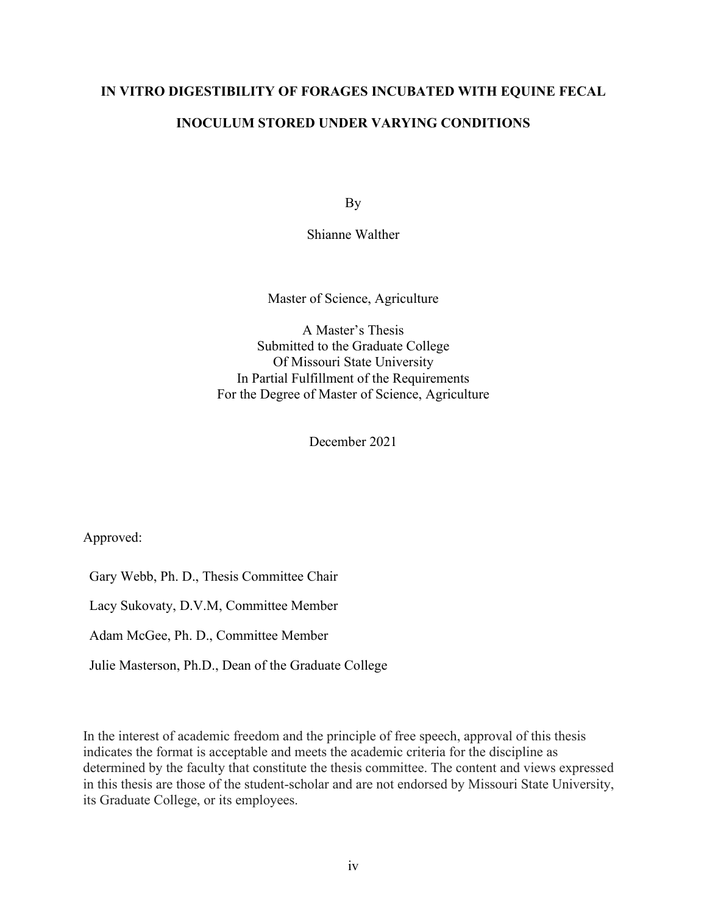# **IN VITRO DIGESTIBILITY OF FORAGES INCUBATED WITH EQUINE FECAL**

# **INOCULUM STORED UNDER VARYING CONDITIONS**

By

Shianne Walther

Master of Science, Agriculture

A Master's Thesis Submitted to the Graduate College Of Missouri State University In Partial Fulfillment of the Requirements For the Degree of Master of Science, Agriculture

December 2021

Approved:

Gary Webb, Ph. D., Thesis Committee Chair

Lacy Sukovaty, D.V.M, Committee Member

Adam McGee, Ph. D., Committee Member

Julie Masterson, Ph.D., Dean of the Graduate College

In the interest of academic freedom and the principle of free speech, approval of this thesis indicates the format is acceptable and meets the academic criteria for the discipline as determined by the faculty that constitute the thesis committee. The content and views expressed in this thesis are those of the student-scholar and are not endorsed by Missouri State University, its Graduate College, or its employees.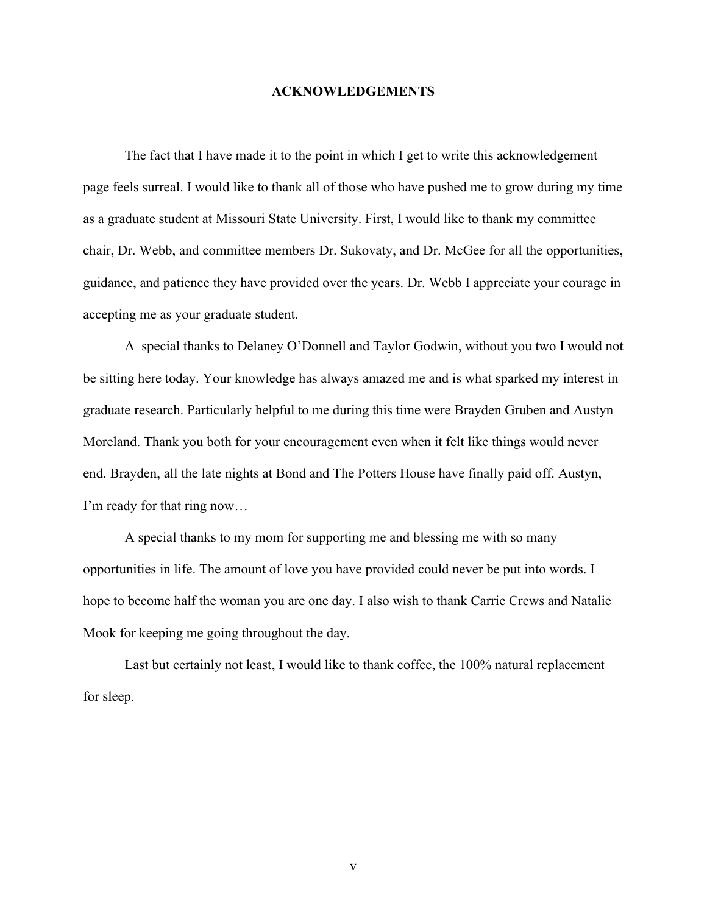#### **ACKNOWLEDGEMENTS**

The fact that I have made it to the point in which I get to write this acknowledgement page feels surreal. I would like to thank all of those who have pushed me to grow during my time as a graduate student at Missouri State University. First, I would like to thank my committee chair, Dr. Webb, and committee members Dr. Sukovaty, and Dr. McGee for all the opportunities, guidance, and patience they have provided over the years. Dr. Webb I appreciate your courage in accepting me as your graduate student.

A special thanks to Delaney O'Donnell and Taylor Godwin, without you two I would not be sitting here today. Your knowledge has always amazed me and is what sparked my interest in graduate research. Particularly helpful to me during this time were Brayden Gruben and Austyn Moreland. Thank you both for your encouragement even when it felt like things would never end. Brayden, all the late nights at Bond and The Potters House have finally paid off. Austyn, I'm ready for that ring now…

A special thanks to my mom for supporting me and blessing me with so many opportunities in life. The amount of love you have provided could never be put into words. I hope to become half the woman you are one day. I also wish to thank Carrie Crews and Natalie Mook for keeping me going throughout the day.

Last but certainly not least, I would like to thank coffee, the 100% natural replacement for sleep.

v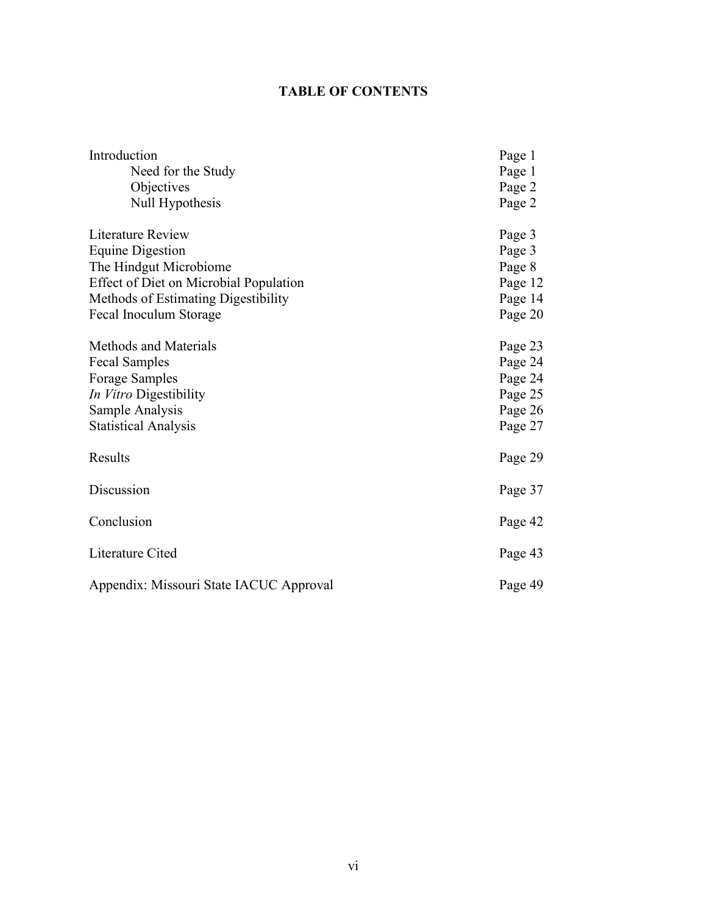# **TABLE OF CONTENTS**

| Introduction                            | Page 1  |
|-----------------------------------------|---------|
| Need for the Study                      | Page 1  |
| Objectives                              | Page 2  |
| Null Hypothesis                         | Page 2  |
| Literature Review                       | Page 3  |
| <b>Equine Digestion</b>                 | Page 3  |
| The Hindgut Microbiome                  | Page 8  |
| Effect of Diet on Microbial Population  | Page 12 |
| Methods of Estimating Digestibility     | Page 14 |
| Fecal Inoculum Storage                  | Page 20 |
| Methods and Materials                   | Page 23 |
| <b>Fecal Samples</b>                    | Page 24 |
| <b>Forage Samples</b>                   | Page 24 |
| In Vitro Digestibility                  | Page 25 |
| Sample Analysis                         | Page 26 |
| <b>Statistical Analysis</b>             | Page 27 |
| Results                                 | Page 29 |
| Discussion                              | Page 37 |
| Conclusion                              | Page 42 |
| Literature Cited                        | Page 43 |
| Appendix: Missouri State IACUC Approval | Page 49 |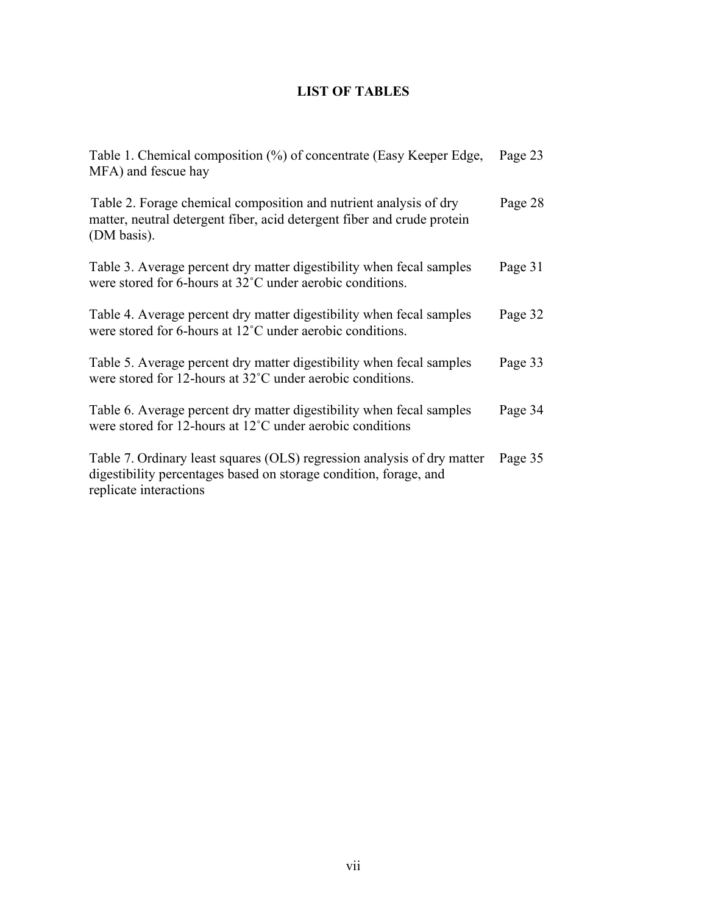# **LIST OF TABLES**

| Table 1. Chemical composition (%) of concentrate (Easy Keeper Edge,<br>MFA) and fescue hay                                                                             | Page 23 |
|------------------------------------------------------------------------------------------------------------------------------------------------------------------------|---------|
| Table 2. Forage chemical composition and nutrient analysis of dry<br>matter, neutral detergent fiber, acid detergent fiber and crude protein<br>(DM basis).            | Page 28 |
| Table 3. Average percent dry matter digestibility when fecal samples<br>were stored for 6-hours at 32°C under aerobic conditions.                                      | Page 31 |
| Table 4. Average percent dry matter digestibility when fecal samples<br>were stored for 6-hours at 12°C under aerobic conditions.                                      | Page 32 |
| Table 5. Average percent dry matter digestibility when fecal samples<br>were stored for 12-hours at 32°C under aerobic conditions.                                     | Page 33 |
| Table 6. Average percent dry matter digestibility when fecal samples<br>were stored for 12-hours at 12 <sup>°</sup> C under aerobic conditions                         | Page 34 |
| Table 7. Ordinary least squares (OLS) regression analysis of dry matter<br>digestibility percentages based on storage condition, forage, and<br>replicate interactions | Page 35 |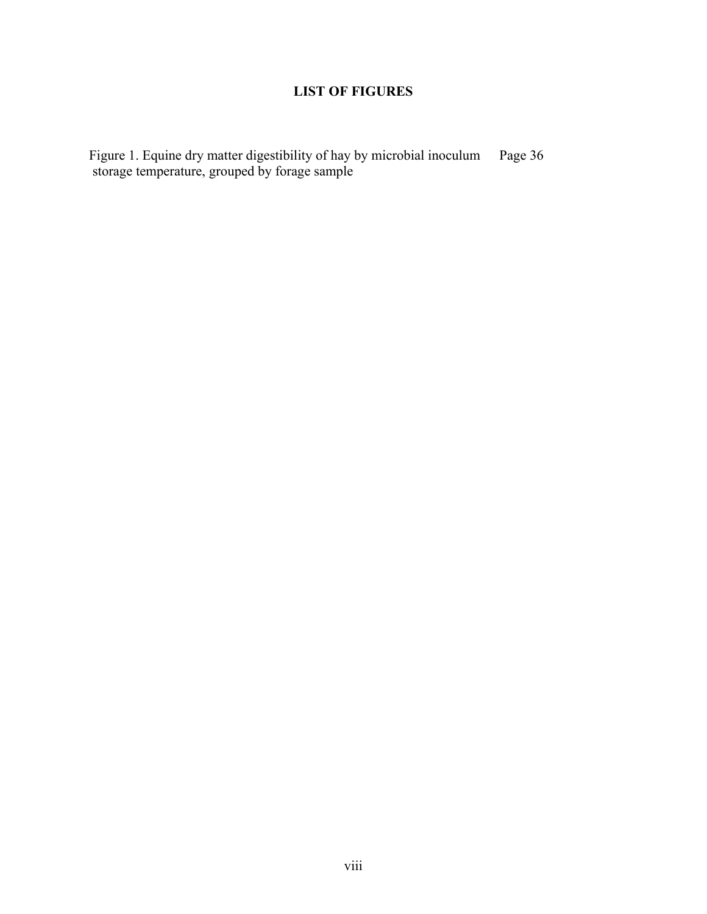# **LIST OF FIGURES**

Figure 1. Equine dry matter digestibility of hay by microbial inoculum storage temperature, grouped by forage sample Page 36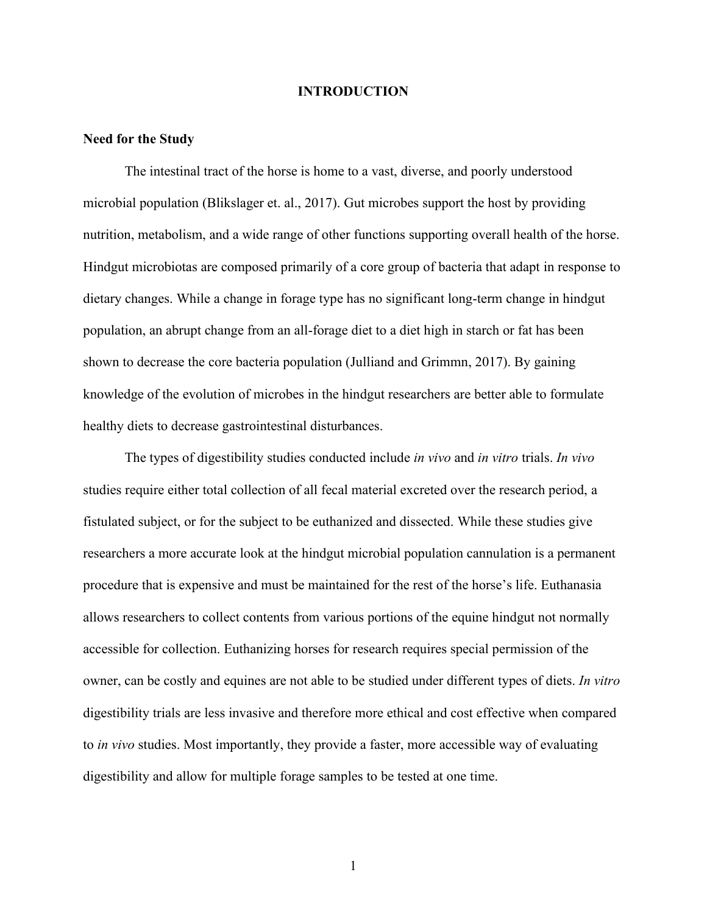#### **INTRODUCTION**

#### **Need for the Study**

The intestinal tract of the horse is home to a vast, diverse, and poorly understood microbial population (Blikslager et. al., 2017). Gut microbes support the host by providing nutrition, metabolism, and a wide range of other functions supporting overall health of the horse. Hindgut microbiotas are composed primarily of a core group of bacteria that adapt in response to dietary changes. While a change in forage type has no significant long-term change in hindgut population, an abrupt change from an all-forage diet to a diet high in starch or fat has been shown to decrease the core bacteria population (Julliand and Grimmn, 2017). By gaining knowledge of the evolution of microbes in the hindgut researchers are better able to formulate healthy diets to decrease gastrointestinal disturbances.

The types of digestibility studies conducted include *in vivo* and *in vitro* trials. *In vivo* studies require either total collection of all fecal material excreted over the research period, a fistulated subject, or for the subject to be euthanized and dissected. While these studies give researchers a more accurate look at the hindgut microbial population cannulation is a permanent procedure that is expensive and must be maintained for the rest of the horse's life. Euthanasia allows researchers to collect contents from various portions of the equine hindgut not normally accessible for collection. Euthanizing horses for research requires special permission of the owner, can be costly and equines are not able to be studied under different types of diets. *In vitro* digestibility trials are less invasive and therefore more ethical and cost effective when compared to *in vivo* studies. Most importantly, they provide a faster, more accessible way of evaluating digestibility and allow for multiple forage samples to be tested at one time.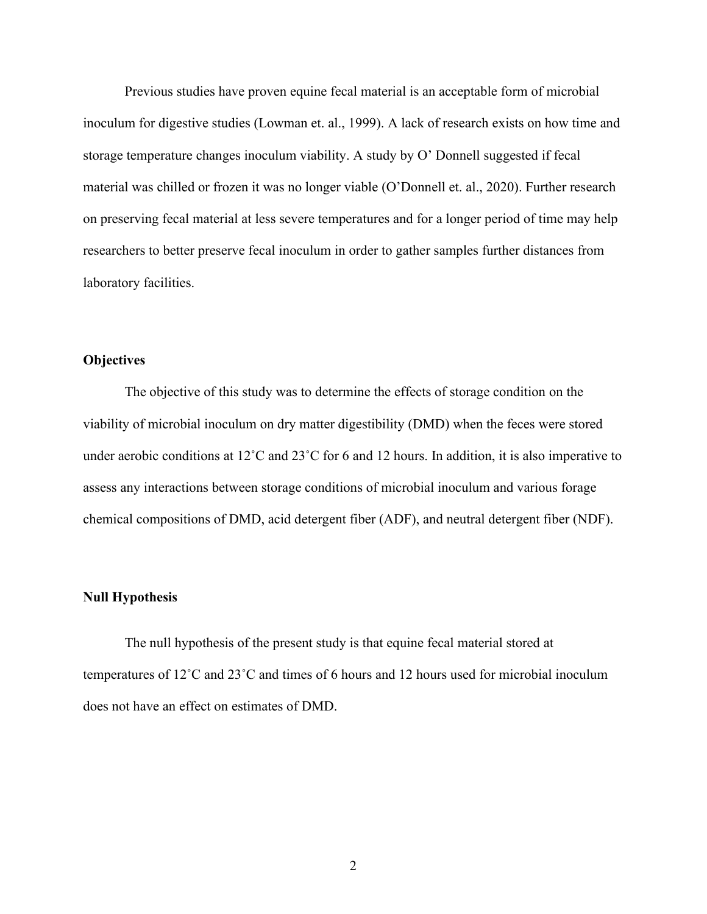Previous studies have proven equine fecal material is an acceptable form of microbial inoculum for digestive studies (Lowman et. al., 1999). A lack of research exists on how time and storage temperature changes inoculum viability. A study by O' Donnell suggested if fecal material was chilled or frozen it was no longer viable (O'Donnell et. al., 2020). Further research on preserving fecal material at less severe temperatures and for a longer period of time may help researchers to better preserve fecal inoculum in order to gather samples further distances from laboratory facilities.

#### **Objectives**

The objective of this study was to determine the effects of storage condition on the viability of microbial inoculum on dry matter digestibility (DMD) when the feces were stored under aerobic conditions at 12<sup>°</sup>C and 23<sup>°</sup>C for 6 and 12 hours. In addition, it is also imperative to assess any interactions between storage conditions of microbial inoculum and various forage chemical compositions of DMD, acid detergent fiber (ADF), and neutral detergent fiber (NDF).

#### **Null Hypothesis**

The null hypothesis of the present study is that equine fecal material stored at temperatures of 12˚C and 23˚C and times of 6 hours and 12 hours used for microbial inoculum does not have an effect on estimates of DMD.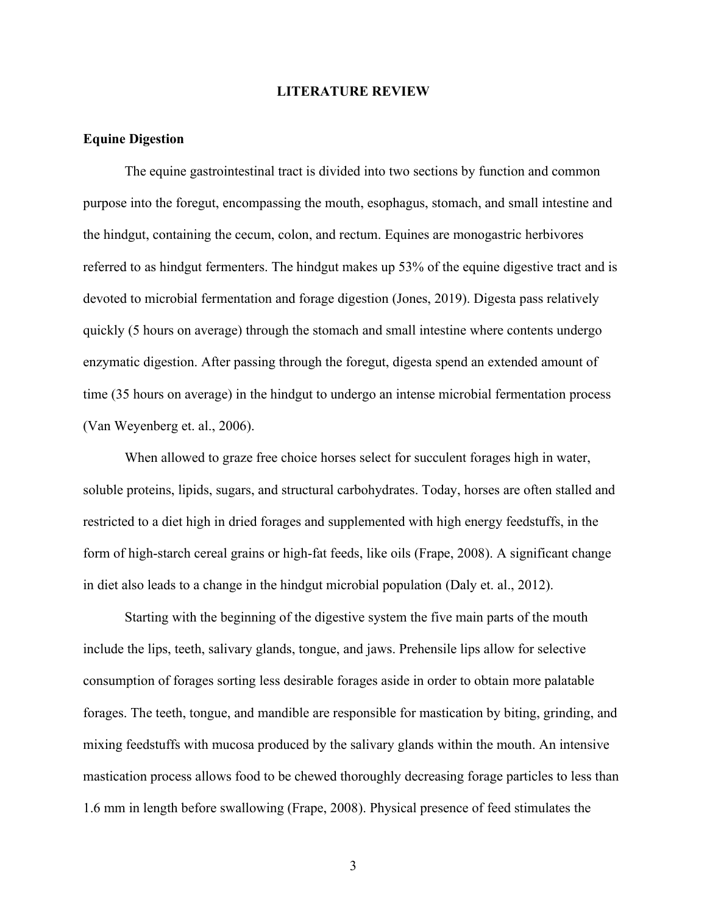#### **LITERATURE REVIEW**

#### **Equine Digestion**

The equine gastrointestinal tract is divided into two sections by function and common purpose into the foregut, encompassing the mouth, esophagus, stomach, and small intestine and the hindgut, containing the cecum, colon, and rectum. Equines are monogastric herbivores referred to as hindgut fermenters. The hindgut makes up 53% of the equine digestive tract and is devoted to microbial fermentation and forage digestion (Jones, 2019). Digesta pass relatively quickly (5 hours on average) through the stomach and small intestine where contents undergo enzymatic digestion. After passing through the foregut, digesta spend an extended amount of time (35 hours on average) in the hindgut to undergo an intense microbial fermentation process (Van Weyenberg et. al., 2006).

When allowed to graze free choice horses select for succulent forages high in water, soluble proteins, lipids, sugars, and structural carbohydrates. Today, horses are often stalled and restricted to a diet high in dried forages and supplemented with high energy feedstuffs, in the form of high-starch cereal grains or high-fat feeds, like oils (Frape, 2008). A significant change in diet also leads to a change in the hindgut microbial population (Daly et. al., 2012).

Starting with the beginning of the digestive system the five main parts of the mouth include the lips, teeth, salivary glands, tongue, and jaws. Prehensile lips allow for selective consumption of forages sorting less desirable forages aside in order to obtain more palatable forages. The teeth, tongue, and mandible are responsible for mastication by biting, grinding, and mixing feedstuffs with mucosa produced by the salivary glands within the mouth. An intensive mastication process allows food to be chewed thoroughly decreasing forage particles to less than 1.6 mm in length before swallowing (Frape, 2008). Physical presence of feed stimulates the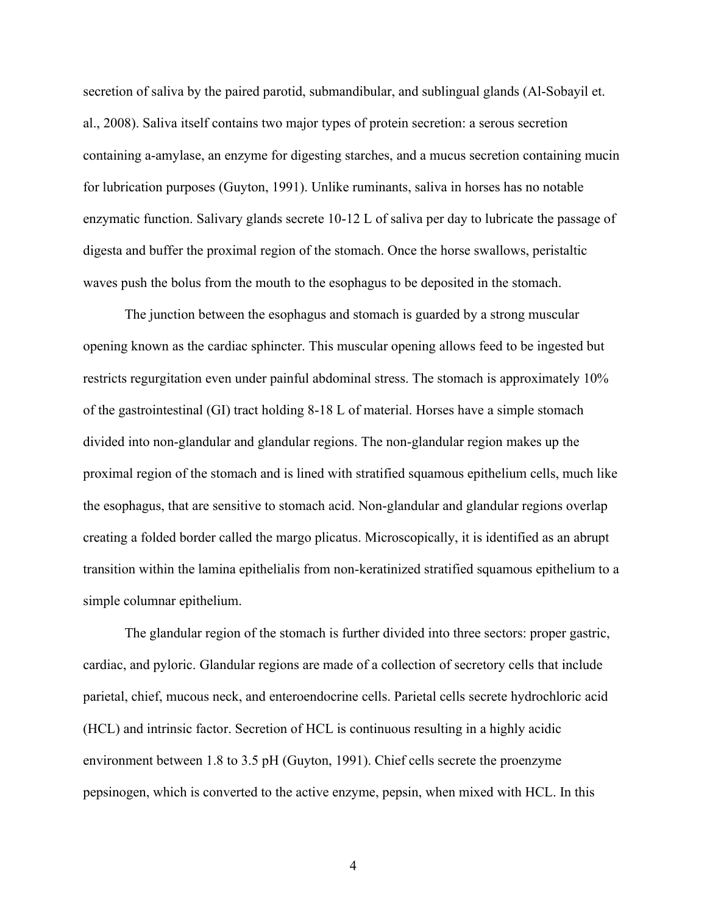secretion of saliva by the paired parotid, submandibular, and sublingual glands (Al-Sobayil et. al., 2008). Saliva itself contains two major types of protein secretion: a serous secretion containing a-amylase, an enzyme for digesting starches, and a mucus secretion containing mucin for lubrication purposes (Guyton, 1991). Unlike ruminants, saliva in horses has no notable enzymatic function. Salivary glands secrete 10-12 L of saliva per day to lubricate the passage of digesta and buffer the proximal region of the stomach. Once the horse swallows, peristaltic waves push the bolus from the mouth to the esophagus to be deposited in the stomach.

The junction between the esophagus and stomach is guarded by a strong muscular opening known as the cardiac sphincter. This muscular opening allows feed to be ingested but restricts regurgitation even under painful abdominal stress. The stomach is approximately 10% of the gastrointestinal (GI) tract holding 8-18 L of material. Horses have a simple stomach divided into non-glandular and glandular regions. The non-glandular region makes up the proximal region of the stomach and is lined with stratified squamous epithelium cells, much like the esophagus, that are sensitive to stomach acid. Non-glandular and glandular regions overlap creating a folded border called the margo plicatus. Microscopically, it is identified as an abrupt transition within the lamina epithelialis from non-keratinized stratified squamous epithelium to a simple columnar epithelium.

The glandular region of the stomach is further divided into three sectors: proper gastric, cardiac, and pyloric. Glandular regions are made of a collection of secretory cells that include parietal, chief, mucous neck, and enteroendocrine cells. Parietal cells secrete hydrochloric acid (HCL) and intrinsic factor. Secretion of HCL is continuous resulting in a highly acidic environment between 1.8 to 3.5 pH (Guyton, 1991). Chief cells secrete the proenzyme pepsinogen, which is converted to the active enzyme, pepsin, when mixed with HCL. In this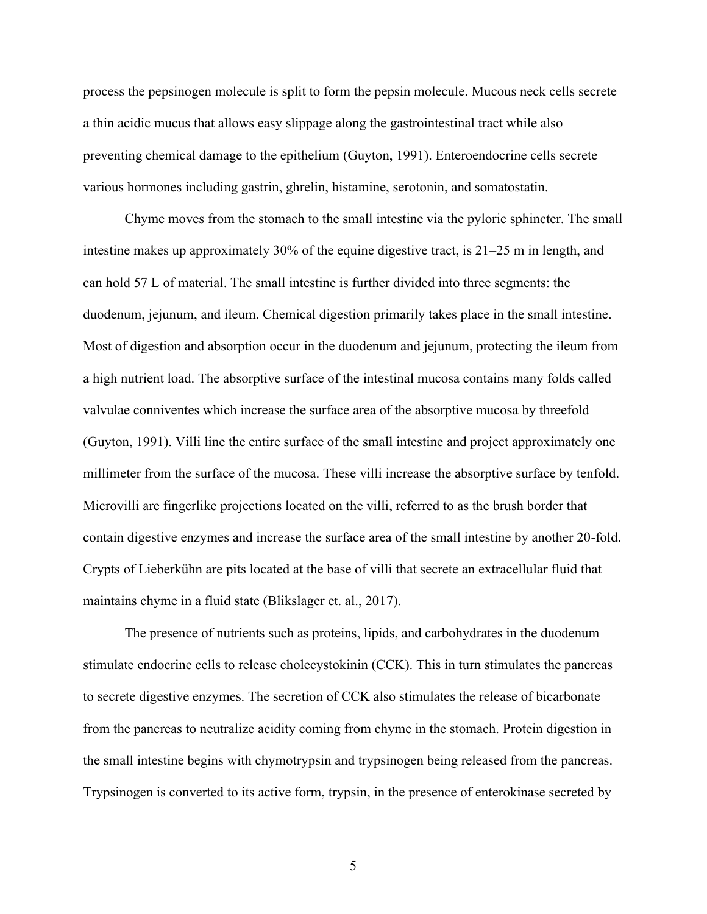process the pepsinogen molecule is split to form the pepsin molecule. Mucous neck cells secrete a thin acidic mucus that allows easy slippage along the gastrointestinal tract while also preventing chemical damage to the epithelium (Guyton, 1991). Enteroendocrine cells secrete various hormones including gastrin, ghrelin, histamine, serotonin, and somatostatin.

Chyme moves from the stomach to the small intestine via the pyloric sphincter. The small intestine makes up approximately 30% of the equine digestive tract, is 21–25 m in length, and can hold 57 L of material. The small intestine is further divided into three segments: the duodenum, jejunum, and ileum. Chemical digestion primarily takes place in the small intestine. Most of digestion and absorption occur in the duodenum and jejunum, protecting the ileum from a high nutrient load. The absorptive surface of the intestinal mucosa contains many folds called valvulae conniventes which increase the surface area of the absorptive mucosa by threefold (Guyton, 1991). Villi line the entire surface of the small intestine and project approximately one millimeter from the surface of the mucosa. These villi increase the absorptive surface by tenfold. Microvilli are fingerlike projections located on the villi, referred to as the brush border that contain digestive enzymes and increase the surface area of the small intestine by another 20-fold. Crypts of Lieberkühn are pits located at the base of villi that secrete an extracellular fluid that maintains chyme in a fluid state (Blikslager et. al., 2017).

The presence of nutrients such as proteins, lipids, and carbohydrates in the duodenum stimulate endocrine cells to release cholecystokinin (CCK). This in turn stimulates the pancreas to secrete digestive enzymes. The secretion of CCK also stimulates the release of bicarbonate from the pancreas to neutralize acidity coming from chyme in the stomach. Protein digestion in the small intestine begins with chymotrypsin and trypsinogen being released from the pancreas. Trypsinogen is converted to its active form, trypsin, in the presence of enterokinase secreted by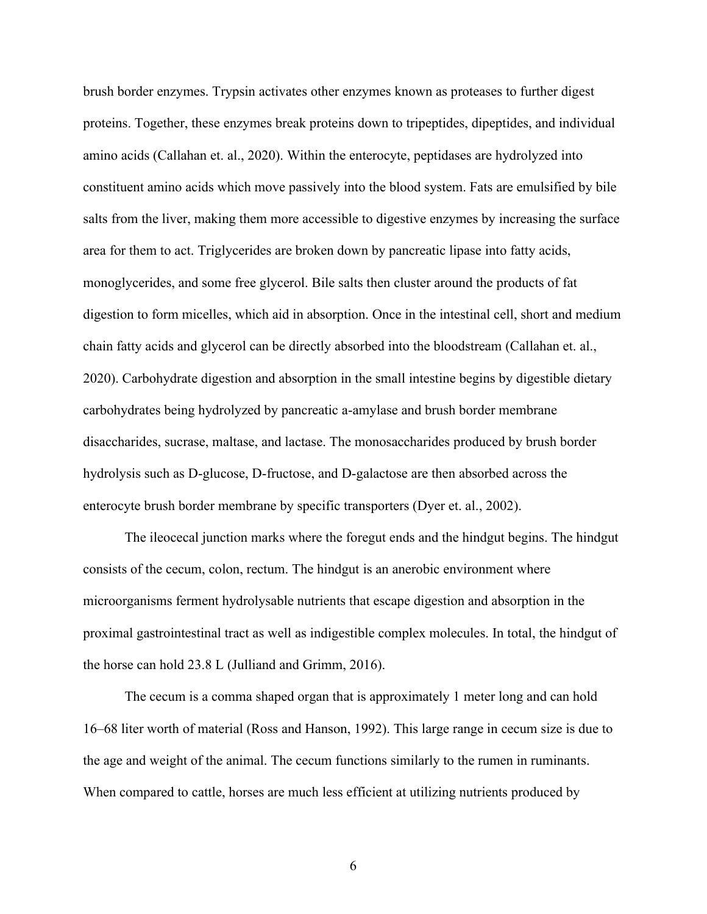brush border enzymes. Trypsin activates other enzymes known as proteases to further digest proteins. Together, these enzymes break proteins down to tripeptides, dipeptides, and individual amino acids (Callahan et. al., 2020). Within the enterocyte, peptidases are hydrolyzed into constituent amino acids which move passively into the blood system. Fats are emulsified by bile salts from the liver, making them more accessible to digestive enzymes by increasing the surface area for them to act. Triglycerides are broken down by pancreatic lipase into fatty acids, monoglycerides, and some free glycerol. Bile salts then cluster around the products of fat digestion to form micelles, which aid in absorption. Once in the intestinal cell, short and medium chain fatty acids and glycerol can be directly absorbed into the bloodstream (Callahan et. al., 2020). Carbohydrate digestion and absorption in the small intestine begins by digestible dietary carbohydrates being hydrolyzed by pancreatic a-amylase and brush border membrane disaccharides, sucrase, maltase, and lactase. The monosaccharides produced by brush border hydrolysis such as D-glucose, D-fructose, and D-galactose are then absorbed across the enterocyte brush border membrane by specific transporters (Dyer et. al., 2002).

The ileocecal junction marks where the foregut ends and the hindgut begins. The hindgut consists of the cecum, colon, rectum. The hindgut is an anerobic environment where microorganisms ferment hydrolysable nutrients that escape digestion and absorption in the proximal gastrointestinal tract as well as indigestible complex molecules. In total, the hindgut of the horse can hold 23.8 L (Julliand and Grimm, 2016).

The cecum is a comma shaped organ that is approximately 1 meter long and can hold 16–68 liter worth of material (Ross and Hanson, 1992). This large range in cecum size is due to the age and weight of the animal. The cecum functions similarly to the rumen in ruminants. When compared to cattle, horses are much less efficient at utilizing nutrients produced by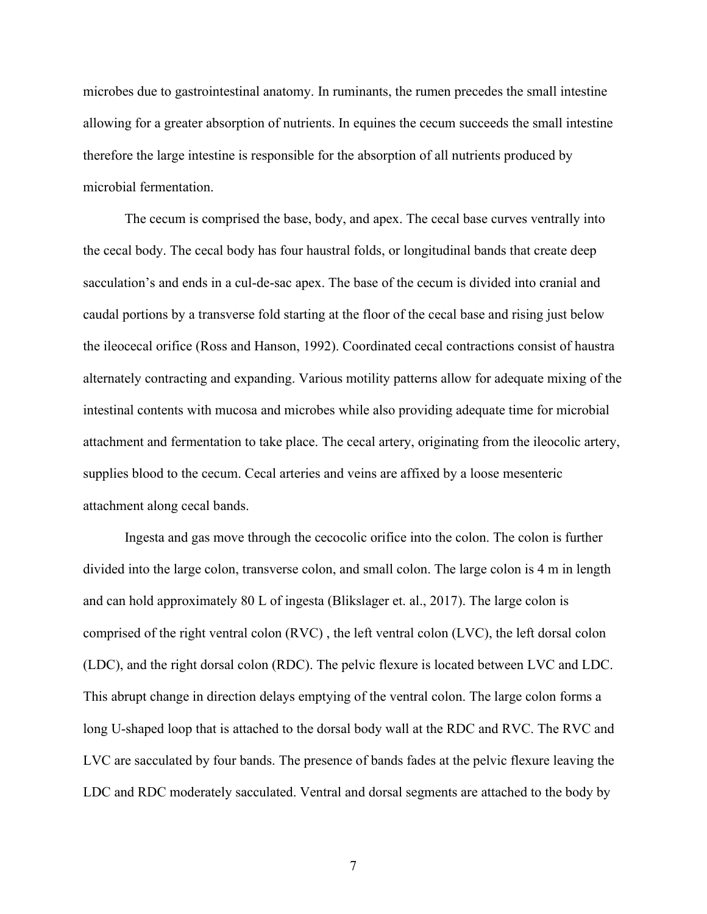microbes due to gastrointestinal anatomy. In ruminants, the rumen precedes the small intestine allowing for a greater absorption of nutrients. In equines the cecum succeeds the small intestine therefore the large intestine is responsible for the absorption of all nutrients produced by microbial fermentation.

The cecum is comprised the base, body, and apex. The cecal base curves ventrally into the cecal body. The cecal body has four haustral folds, or longitudinal bands that create deep sacculation's and ends in a cul-de-sac apex. The base of the cecum is divided into cranial and caudal portions by a transverse fold starting at the floor of the cecal base and rising just below the ileocecal orifice (Ross and Hanson, 1992). Coordinated cecal contractions consist of haustra alternately contracting and expanding. Various motility patterns allow for adequate mixing of the intestinal contents with mucosa and microbes while also providing adequate time for microbial attachment and fermentation to take place. The cecal artery, originating from the ileocolic artery, supplies blood to the cecum. Cecal arteries and veins are affixed by a loose mesenteric attachment along cecal bands.

Ingesta and gas move through the cecocolic orifice into the colon. The colon is further divided into the large colon, transverse colon, and small colon. The large colon is 4 m in length and can hold approximately 80 L of ingesta (Blikslager et. al., 2017). The large colon is comprised of the right ventral colon (RVC) , the left ventral colon (LVC), the left dorsal colon (LDC), and the right dorsal colon (RDC). The pelvic flexure is located between LVC and LDC. This abrupt change in direction delays emptying of the ventral colon. The large colon forms a long U-shaped loop that is attached to the dorsal body wall at the RDC and RVC. The RVC and LVC are sacculated by four bands. The presence of bands fades at the pelvic flexure leaving the LDC and RDC moderately sacculated. Ventral and dorsal segments are attached to the body by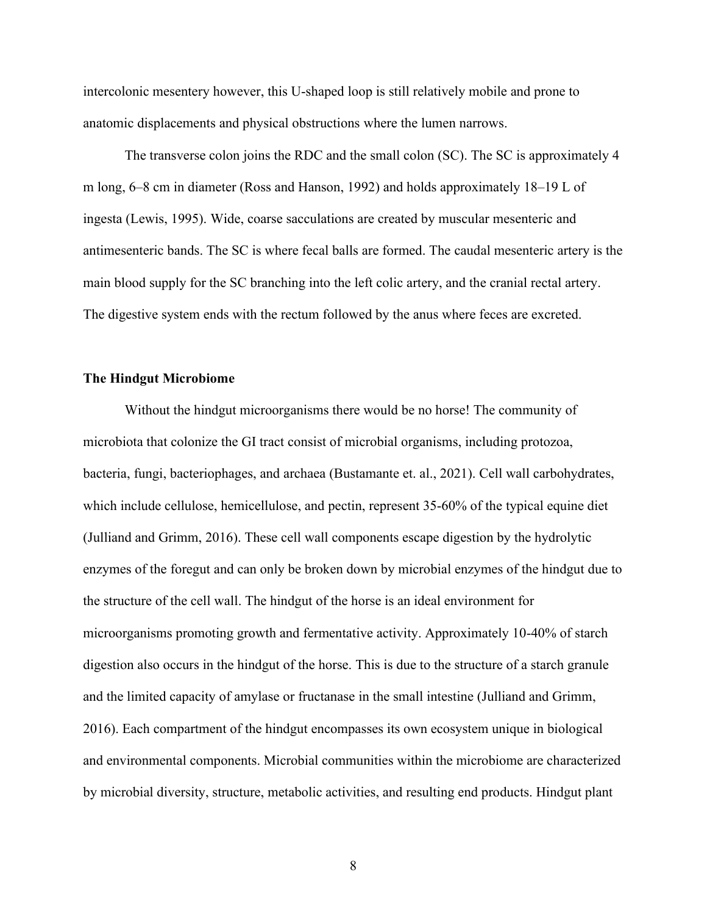intercolonic mesentery however, this U-shaped loop is still relatively mobile and prone to anatomic displacements and physical obstructions where the lumen narrows.

The transverse colon joins the RDC and the small colon (SC). The SC is approximately 4 m long, 6–8 cm in diameter (Ross and Hanson, 1992) and holds approximately 18–19 L of ingesta (Lewis, 1995). Wide, coarse sacculations are created by muscular mesenteric and antimesenteric bands. The SC is where fecal balls are formed. The caudal mesenteric artery is the main blood supply for the SC branching into the left colic artery, and the cranial rectal artery. The digestive system ends with the rectum followed by the anus where feces are excreted.

#### **The Hindgut Microbiome**

Without the hindgut microorganisms there would be no horse! The community of microbiota that colonize the GI tract consist of microbial organisms, including protozoa, bacteria, fungi, bacteriophages, and archaea (Bustamante et. al., 2021). Cell wall carbohydrates, which include cellulose, hemicellulose, and pectin, represent 35-60% of the typical equine diet (Julliand and Grimm, 2016). These cell wall components escape digestion by the hydrolytic enzymes of the foregut and can only be broken down by microbial enzymes of the hindgut due to the structure of the cell wall. The hindgut of the horse is an ideal environment for microorganisms promoting growth and fermentative activity. Approximately 10-40% of starch digestion also occurs in the hindgut of the horse. This is due to the structure of a starch granule and the limited capacity of amylase or fructanase in the small intestine (Julliand and Grimm, 2016). Each compartment of the hindgut encompasses its own ecosystem unique in biological and environmental components. Microbial communities within the microbiome are characterized by microbial diversity, structure, metabolic activities, and resulting end products. Hindgut plant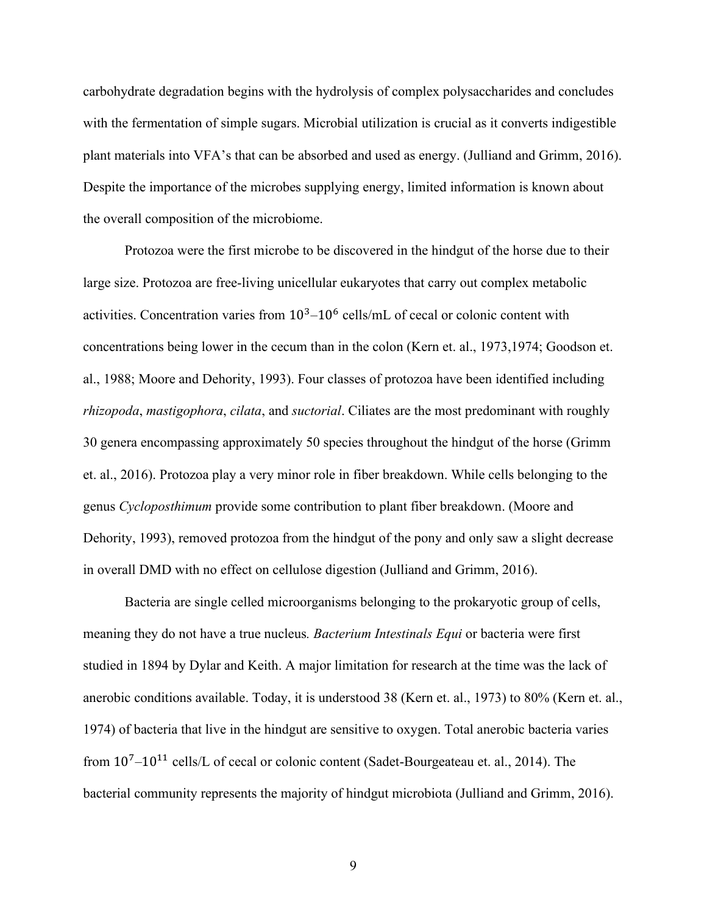carbohydrate degradation begins with the hydrolysis of complex polysaccharides and concludes with the fermentation of simple sugars. Microbial utilization is crucial as it converts indigestible plant materials into VFA's that can be absorbed and used as energy. (Julliand and Grimm, 2016). Despite the importance of the microbes supplying energy, limited information is known about the overall composition of the microbiome.

Protozoa were the first microbe to be discovered in the hindgut of the horse due to their large size. Protozoa are free-living unicellular eukaryotes that carry out complex metabolic activities. Concentration varies from  $10^3 - 10^6$  cells/mL of cecal or colonic content with concentrations being lower in the cecum than in the colon (Kern et. al., 1973,1974; Goodson et. al., 1988; Moore and Dehority, 1993). Four classes of protozoa have been identified including *rhizopoda*, *mastigophora*, *cilata*, and *suctorial*. Ciliates are the most predominant with roughly 30 genera encompassing approximately 50 species throughout the hindgut of the horse (Grimm et. al., 2016). Protozoa play a very minor role in fiber breakdown. While cells belonging to the genus *Cycloposthimum* provide some contribution to plant fiber breakdown. (Moore and Dehority, 1993), removed protozoa from the hindgut of the pony and only saw a slight decrease in overall DMD with no effect on cellulose digestion (Julliand and Grimm, 2016).

Bacteria are single celled microorganisms belonging to the prokaryotic group of cells, meaning they do not have a true nucleus*. Bacterium Intestinals Equi* or bacteria were first studied in 1894 by Dylar and Keith. A major limitation for research at the time was the lack of anerobic conditions available. Today, it is understood 38 (Kern et. al., 1973) to 80% (Kern et. al., 1974) of bacteria that live in the hindgut are sensitive to oxygen. Total anerobic bacteria varies from  $10^7$ – $10^{11}$  cells/L of cecal or colonic content (Sadet-Bourgeateau et. al., 2014). The bacterial community represents the majority of hindgut microbiota (Julliand and Grimm, 2016).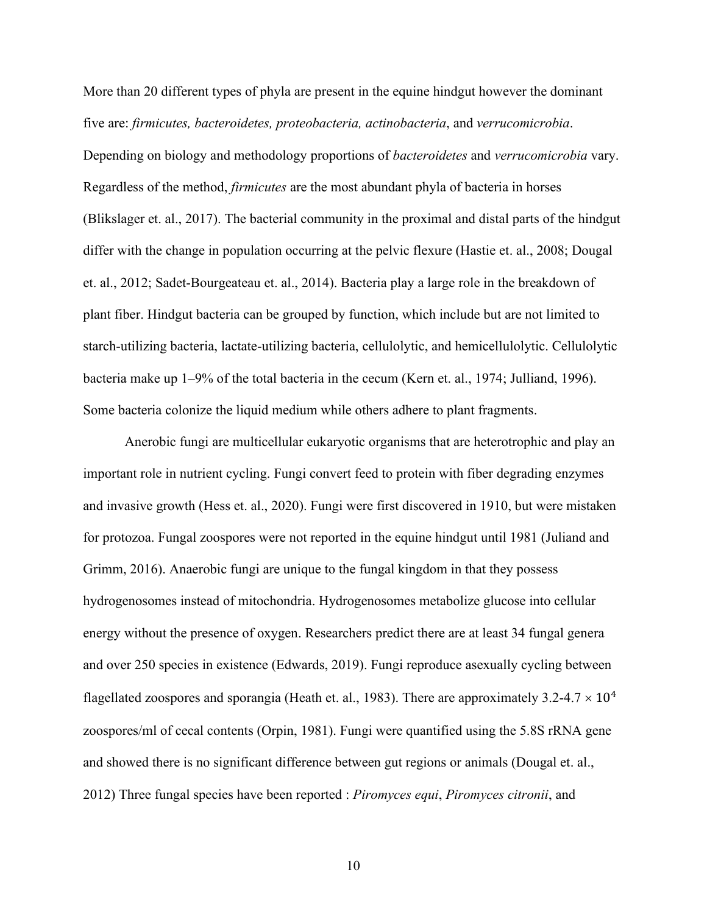More than 20 different types of phyla are present in the equine hindgut however the dominant five are: *firmicutes, bacteroidetes, proteobacteria, actinobacteria*, and *verrucomicrobia*. Depending on biology and methodology proportions of *bacteroidetes* and *verrucomicrobia* vary. Regardless of the method, *firmicutes* are the most abundant phyla of bacteria in horses (Blikslager et. al., 2017). The bacterial community in the proximal and distal parts of the hindgut differ with the change in population occurring at the pelvic flexure (Hastie et. al., 2008; Dougal et. al., 2012; Sadet-Bourgeateau et. al., 2014). Bacteria play a large role in the breakdown of plant fiber. Hindgut bacteria can be grouped by function, which include but are not limited to starch-utilizing bacteria, lactate-utilizing bacteria, cellulolytic, and hemicellulolytic. Cellulolytic bacteria make up 1–9% of the total bacteria in the cecum (Kern et. al., 1974; Julliand, 1996). Some bacteria colonize the liquid medium while others adhere to plant fragments.

Anerobic fungi are multicellular eukaryotic organisms that are heterotrophic and play an important role in nutrient cycling. Fungi convert feed to protein with fiber degrading enzymes and invasive growth (Hess et. al., 2020). Fungi were first discovered in 1910, but were mistaken for protozoa. Fungal zoospores were not reported in the equine hindgut until 1981 (Juliand and Grimm, 2016). Anaerobic fungi are unique to the fungal kingdom in that they possess hydrogenosomes instead of mitochondria. Hydrogenosomes metabolize glucose into cellular energy without the presence of oxygen. Researchers predict there are at least 34 fungal genera and over 250 species in existence (Edwards, 2019). Fungi reproduce asexually cycling between flagellated zoospores and sporangia (Heath et. al., 1983). There are approximately 3.2-4.7  $\times$  10<sup>4</sup> zoospores/ml of cecal contents (Orpin, 1981). Fungi were quantified using the 5.8S rRNA gene and showed there is no significant difference between gut regions or animals (Dougal et. al., 2012) Three fungal species have been reported : *Piromyces equi*, *Piromyces citronii*, and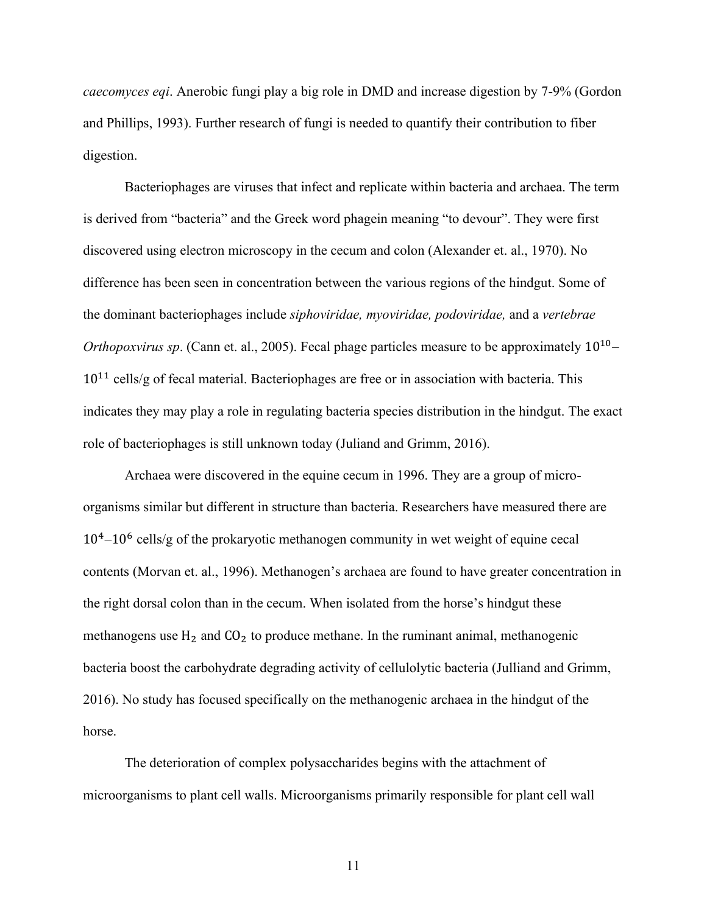*caecomyces eqi*. Anerobic fungi play a big role in DMD and increase digestion by 7-9% (Gordon and Phillips, 1993). Further research of fungi is needed to quantify their contribution to fiber digestion.

Bacteriophages are viruses that infect and replicate within bacteria and archaea. The term is derived from "bacteria" and the Greek word phagein meaning "to devour". They were first discovered using electron microscopy in the cecum and colon (Alexander et. al., 1970). No difference has been seen in concentration between the various regions of the hindgut. Some of the dominant bacteriophages include *siphoviridae, myoviridae, podoviridae,* and a *vertebrae Orthopoxvirus sp.* (Cann et. al., 2005). Fecal phage particles measure to be approximately  $10^{10}$ –  $10^{11}$  cells/g of fecal material. Bacteriophages are free or in association with bacteria. This indicates they may play a role in regulating bacteria species distribution in the hindgut. The exact role of bacteriophages is still unknown today (Juliand and Grimm, 2016).

Archaea were discovered in the equine cecum in 1996. They are a group of microorganisms similar but different in structure than bacteria. Researchers have measured there are 10<sup>4</sup>-10<sup>6</sup> cells/g of the prokaryotic methanogen community in wet weight of equine cecal contents (Morvan et. al., 1996). Methanogen's archaea are found to have greater concentration in the right dorsal colon than in the cecum. When isolated from the horse's hindgut these methanogens use  $H_2$  and  $CO_2$  to produce methane. In the ruminant animal, methanogenic bacteria boost the carbohydrate degrading activity of cellulolytic bacteria (Julliand and Grimm, 2016). No study has focused specifically on the methanogenic archaea in the hindgut of the horse.

The deterioration of complex polysaccharides begins with the attachment of microorganisms to plant cell walls. Microorganisms primarily responsible for plant cell wall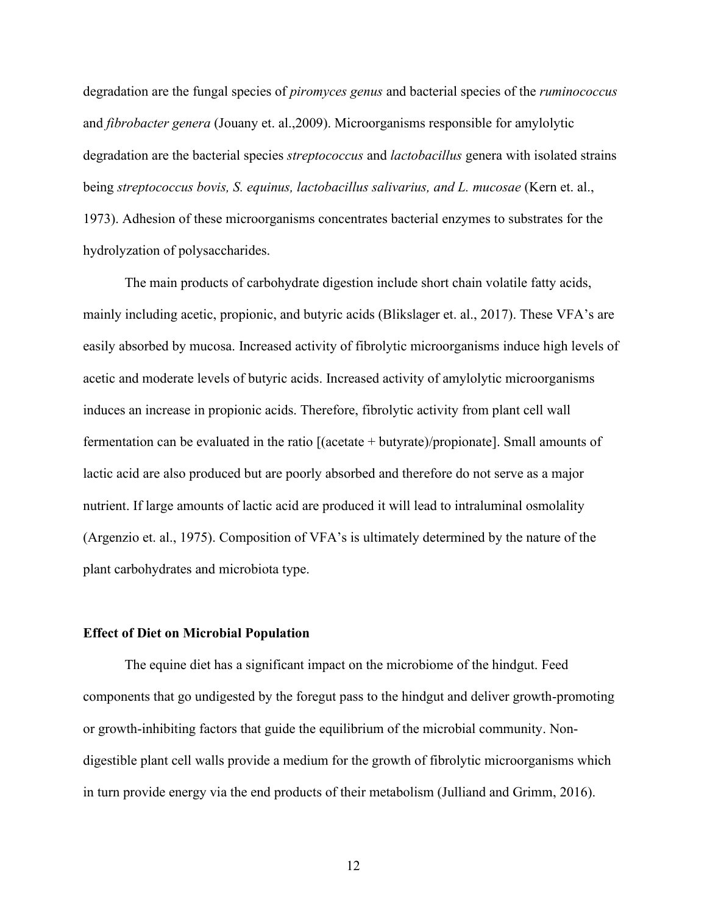degradation are the fungal species of *piromyces genus* and bacterial species of the *ruminococcus* and *fibrobacter genera* (Jouany et. al.,2009). Microorganisms responsible for amylolytic degradation are the bacterial species *streptococcus* and *lactobacillus* genera with isolated strains being *streptococcus bovis, S. equinus, lactobacillus salivarius, and L. mucosae* (Kern et. al., 1973). Adhesion of these microorganisms concentrates bacterial enzymes to substrates for the hydrolyzation of polysaccharides.

The main products of carbohydrate digestion include short chain volatile fatty acids, mainly including acetic, propionic, and butyric acids (Blikslager et. al., 2017). These VFA's are easily absorbed by mucosa. Increased activity of fibrolytic microorganisms induce high levels of acetic and moderate levels of butyric acids. Increased activity of amylolytic microorganisms induces an increase in propionic acids. Therefore, fibrolytic activity from plant cell wall fermentation can be evaluated in the ratio [(acetate + butyrate)/propionate]. Small amounts of lactic acid are also produced but are poorly absorbed and therefore do not serve as a major nutrient. If large amounts of lactic acid are produced it will lead to intraluminal osmolality (Argenzio et. al., 1975). Composition of VFA's is ultimately determined by the nature of the plant carbohydrates and microbiota type.

#### **Effect of Diet on Microbial Population**

The equine diet has a significant impact on the microbiome of the hindgut. Feed components that go undigested by the foregut pass to the hindgut and deliver growth-promoting or growth-inhibiting factors that guide the equilibrium of the microbial community. Nondigestible plant cell walls provide a medium for the growth of fibrolytic microorganisms which in turn provide energy via the end products of their metabolism (Julliand and Grimm, 2016).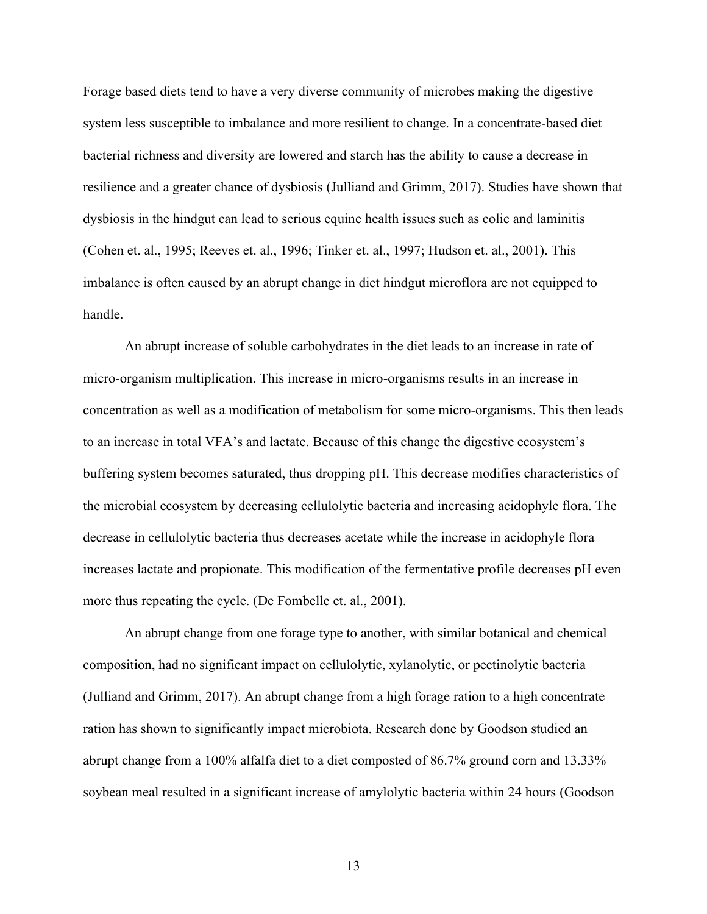Forage based diets tend to have a very diverse community of microbes making the digestive system less susceptible to imbalance and more resilient to change. In a concentrate-based diet bacterial richness and diversity are lowered and starch has the ability to cause a decrease in resilience and a greater chance of dysbiosis (Julliand and Grimm, 2017). Studies have shown that dysbiosis in the hindgut can lead to serious equine health issues such as colic and laminitis (Cohen et. al., 1995; Reeves et. al., 1996; Tinker et. al., 1997; Hudson et. al., 2001). This imbalance is often caused by an abrupt change in diet hindgut microflora are not equipped to handle.

An abrupt increase of soluble carbohydrates in the diet leads to an increase in rate of micro-organism multiplication. This increase in micro-organisms results in an increase in concentration as well as a modification of metabolism for some micro-organisms. This then leads to an increase in total VFA's and lactate. Because of this change the digestive ecosystem's buffering system becomes saturated, thus dropping pH. This decrease modifies characteristics of the microbial ecosystem by decreasing cellulolytic bacteria and increasing acidophyle flora. The decrease in cellulolytic bacteria thus decreases acetate while the increase in acidophyle flora increases lactate and propionate. This modification of the fermentative profile decreases pH even more thus repeating the cycle. (De Fombelle et. al., 2001).

An abrupt change from one forage type to another, with similar botanical and chemical composition, had no significant impact on cellulolytic, xylanolytic, or pectinolytic bacteria (Julliand and Grimm, 2017). An abrupt change from a high forage ration to a high concentrate ration has shown to significantly impact microbiota. Research done by Goodson studied an abrupt change from a 100% alfalfa diet to a diet composted of 86.7% ground corn and 13.33% soybean meal resulted in a significant increase of amylolytic bacteria within 24 hours (Goodson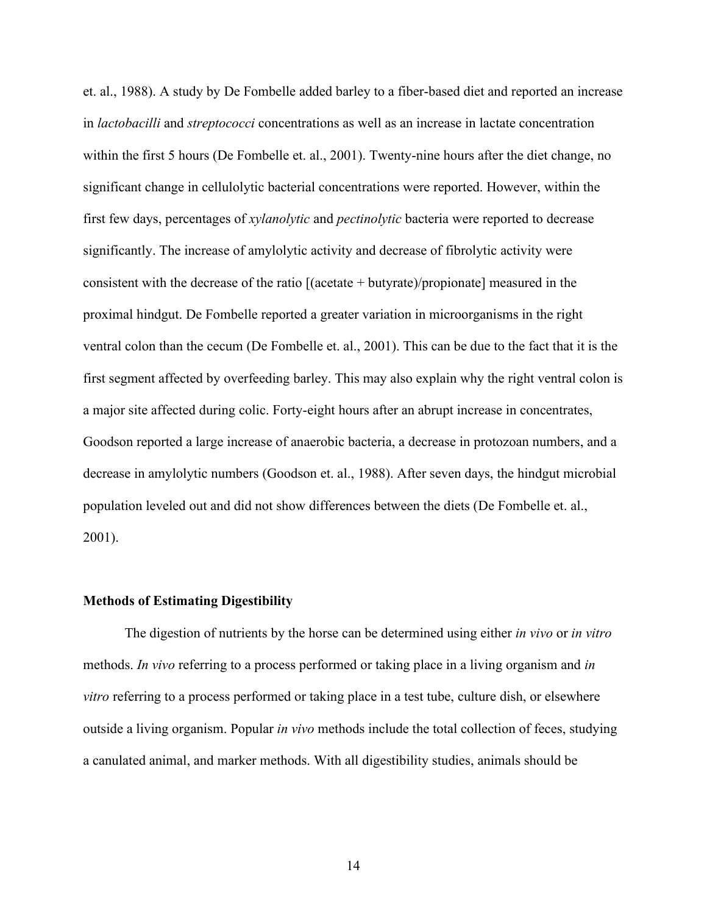et. al., 1988). A study by De Fombelle added barley to a fiber-based diet and reported an increase in *lactobacilli* and *streptococci* concentrations as well as an increase in lactate concentration within the first 5 hours (De Fombelle et. al., 2001). Twenty-nine hours after the diet change, no significant change in cellulolytic bacterial concentrations were reported. However, within the first few days, percentages of *xylanolytic* and *pectinolytic* bacteria were reported to decrease significantly. The increase of amylolytic activity and decrease of fibrolytic activity were consistent with the decrease of the ratio  $[(\text{acetate} + \text{butyrate})/ \text{propionate}]$  measured in the proximal hindgut. De Fombelle reported a greater variation in microorganisms in the right ventral colon than the cecum (De Fombelle et. al., 2001). This can be due to the fact that it is the first segment affected by overfeeding barley. This may also explain why the right ventral colon is a major site affected during colic. Forty-eight hours after an abrupt increase in concentrates, Goodson reported a large increase of anaerobic bacteria, a decrease in protozoan numbers, and a decrease in amylolytic numbers (Goodson et. al., 1988). After seven days, the hindgut microbial population leveled out and did not show differences between the diets (De Fombelle et. al., 2001).

#### **Methods of Estimating Digestibility**

The digestion of nutrients by the horse can be determined using either *in vivo* or *in vitro* methods. *In vivo* referring to a process performed or taking place in a living organism and *in vitro* referring to a process performed or taking place in a test tube, culture dish, or elsewhere outside a living organism. Popular *in vivo* methods include the total collection of feces, studying a canulated animal, and marker methods. With all digestibility studies, animals should be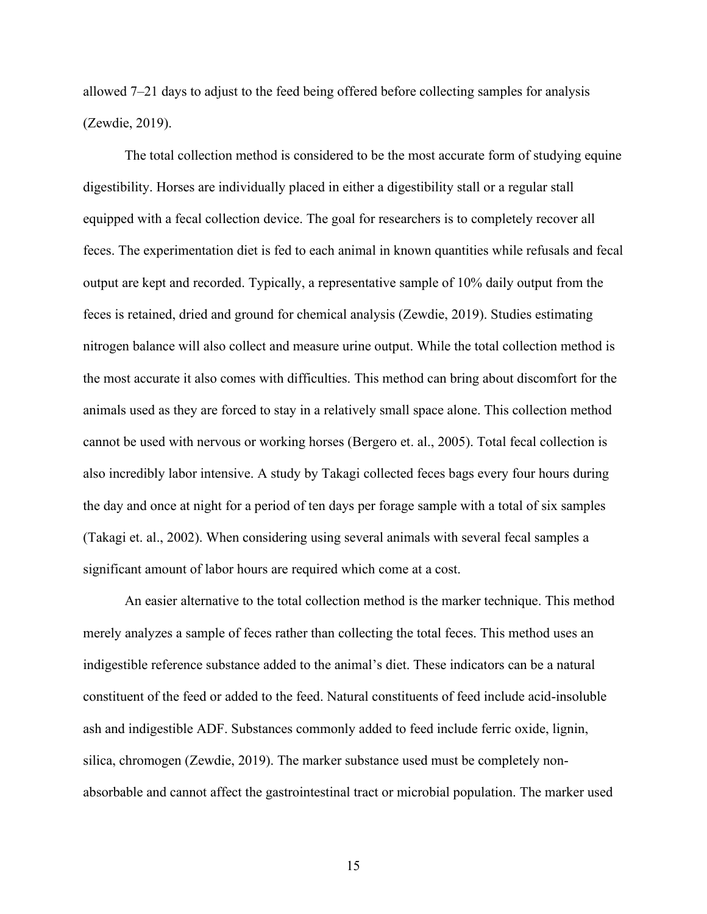allowed 7–21 days to adjust to the feed being offered before collecting samples for analysis (Zewdie, 2019).

The total collection method is considered to be the most accurate form of studying equine digestibility. Horses are individually placed in either a digestibility stall or a regular stall equipped with a fecal collection device. The goal for researchers is to completely recover all feces. The experimentation diet is fed to each animal in known quantities while refusals and fecal output are kept and recorded. Typically, a representative sample of 10% daily output from the feces is retained, dried and ground for chemical analysis (Zewdie, 2019). Studies estimating nitrogen balance will also collect and measure urine output. While the total collection method is the most accurate it also comes with difficulties. This method can bring about discomfort for the animals used as they are forced to stay in a relatively small space alone. This collection method cannot be used with nervous or working horses (Bergero et. al., 2005). Total fecal collection is also incredibly labor intensive. A study by Takagi collected feces bags every four hours during the day and once at night for a period of ten days per forage sample with a total of six samples (Takagi et. al., 2002). When considering using several animals with several fecal samples a significant amount of labor hours are required which come at a cost.

An easier alternative to the total collection method is the marker technique. This method merely analyzes a sample of feces rather than collecting the total feces. This method uses an indigestible reference substance added to the animal's diet. These indicators can be a natural constituent of the feed or added to the feed. Natural constituents of feed include acid-insoluble ash and indigestible ADF. Substances commonly added to feed include ferric oxide, lignin, silica, chromogen (Zewdie, 2019). The marker substance used must be completely nonabsorbable and cannot affect the gastrointestinal tract or microbial population. The marker used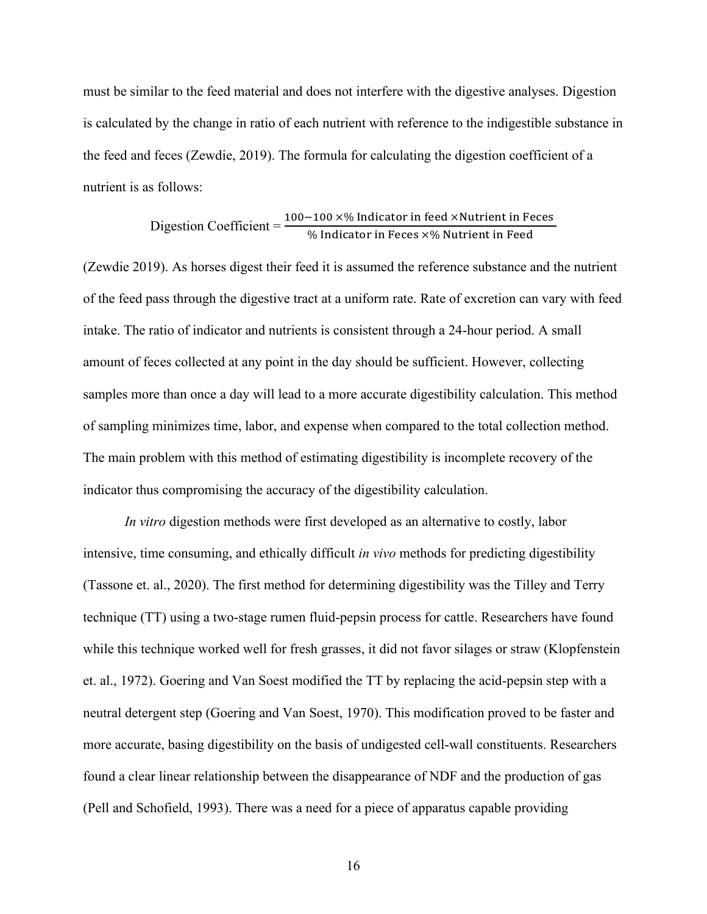must be similar to the feed material and does not interfere with the digestive analyses. Digestion is calculated by the change in ratio of each nutrient with reference to the indigestible substance in the feed and feces (Zewdie, 2019). The formula for calculating the digestion coefficient of a nutrient is as follows:

\n Disgestion Coefficient = \n 
$$
\frac{100 - 100 \times \% \text{ Indicator in feed} \times \text{Nutrient in Feces}}{\% \text{ Indicator in Feces} \times \% \text{Nutrient in Feed}}\n \n
$$
\n

(Zewdie 2019). As horses digest their feed it is assumed the reference substance and the nutrient of the feed pass through the digestive tract at a uniform rate. Rate of excretion can vary with feed intake. The ratio of indicator and nutrients is consistent through a 24-hour period. A small amount of feces collected at any point in the day should be sufficient. However, collecting samples more than once a day will lead to a more accurate digestibility calculation. This method of sampling minimizes time, labor, and expense when compared to the total collection method. The main problem with this method of estimating digestibility is incomplete recovery of the indicator thus compromising the accuracy of the digestibility calculation.

*In vitro* digestion methods were first developed as an alternative to costly, labor intensive, time consuming, and ethically difficult *in vivo* methods for predicting digestibility (Tassone et. al., 2020). The first method for determining digestibility was the Tilley and Terry technique (TT) using a two-stage rumen fluid-pepsin process for cattle. Researchers have found while this technique worked well for fresh grasses, it did not favor silages or straw (Klopfenstein et. al., 1972). Goering and Van Soest modified the TT by replacing the acid-pepsin step with a neutral detergent step (Goering and Van Soest, 1970). This modification proved to be faster and more accurate, basing digestibility on the basis of undigested cell-wall constituents. Researchers found a clear linear relationship between the disappearance of NDF and the production of gas (Pell and Schofield, 1993). There was a need for a piece of apparatus capable providing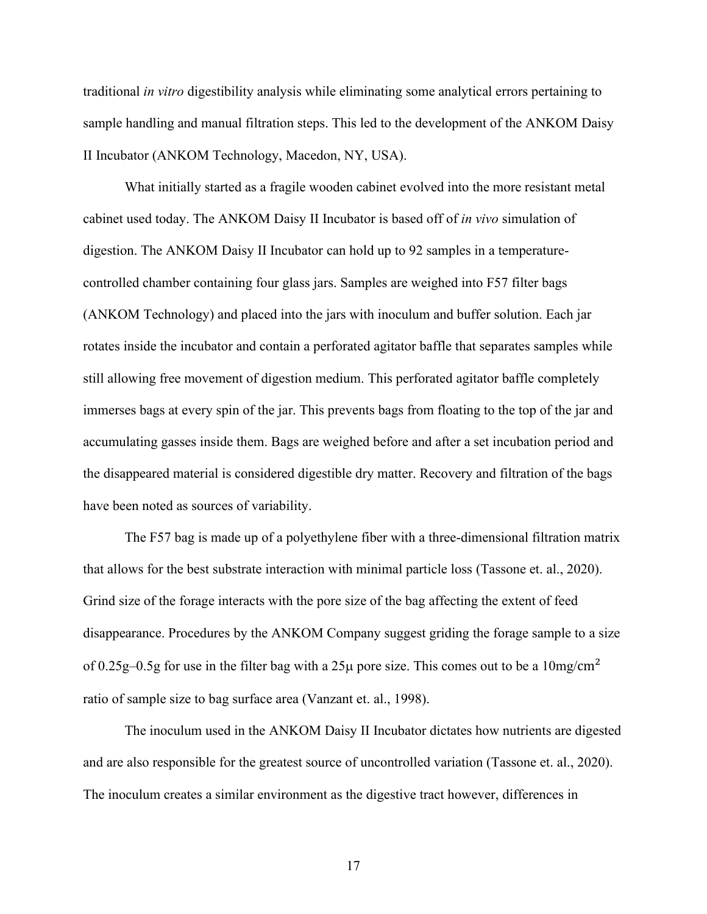traditional *in vitro* digestibility analysis while eliminating some analytical errors pertaining to sample handling and manual filtration steps. This led to the development of the ANKOM Daisy II Incubator (ANKOM Technology, Macedon, NY, USA).

What initially started as a fragile wooden cabinet evolved into the more resistant metal cabinet used today. The ANKOM Daisy II Incubator is based off of *in vivo* simulation of digestion. The ANKOM Daisy II Incubator can hold up to 92 samples in a temperaturecontrolled chamber containing four glass jars. Samples are weighed into F57 filter bags (ANKOM Technology) and placed into the jars with inoculum and buffer solution. Each jar rotates inside the incubator and contain a perforated agitator baffle that separates samples while still allowing free movement of digestion medium. This perforated agitator baffle completely immerses bags at every spin of the jar. This prevents bags from floating to the top of the jar and accumulating gasses inside them. Bags are weighed before and after a set incubation period and the disappeared material is considered digestible dry matter. Recovery and filtration of the bags have been noted as sources of variability.

The F57 bag is made up of a polyethylene fiber with a three-dimensional filtration matrix that allows for the best substrate interaction with minimal particle loss (Tassone et. al., 2020). Grind size of the forage interacts with the pore size of the bag affecting the extent of feed disappearance. Procedures by the ANKOM Company suggest griding the forage sample to a size of 0.25g–0.5g for use in the filter bag with a 25 $\mu$  pore size. This comes out to be a 10mg/cm<sup>2</sup> ratio of sample size to bag surface area (Vanzant et. al., 1998).

The inoculum used in the ANKOM Daisy II Incubator dictates how nutrients are digested and are also responsible for the greatest source of uncontrolled variation (Tassone et. al., 2020). The inoculum creates a similar environment as the digestive tract however, differences in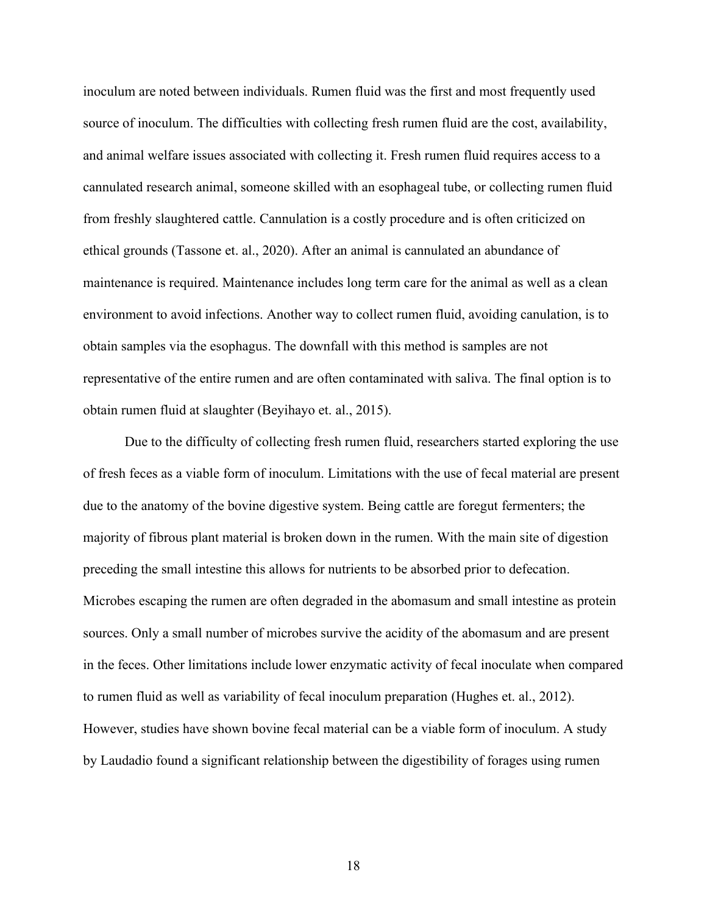inoculum are noted between individuals. Rumen fluid was the first and most frequently used source of inoculum. The difficulties with collecting fresh rumen fluid are the cost, availability, and animal welfare issues associated with collecting it. Fresh rumen fluid requires access to a cannulated research animal, someone skilled with an esophageal tube, or collecting rumen fluid from freshly slaughtered cattle. Cannulation is a costly procedure and is often criticized on ethical grounds (Tassone et. al., 2020). After an animal is cannulated an abundance of maintenance is required. Maintenance includes long term care for the animal as well as a clean environment to avoid infections. Another way to collect rumen fluid, avoiding canulation, is to obtain samples via the esophagus. The downfall with this method is samples are not representative of the entire rumen and are often contaminated with saliva. The final option is to obtain rumen fluid at slaughter (Beyihayo et. al., 2015).

Due to the difficulty of collecting fresh rumen fluid, researchers started exploring the use of fresh feces as a viable form of inoculum. Limitations with the use of fecal material are present due to the anatomy of the bovine digestive system. Being cattle are foregut fermenters; the majority of fibrous plant material is broken down in the rumen. With the main site of digestion preceding the small intestine this allows for nutrients to be absorbed prior to defecation. Microbes escaping the rumen are often degraded in the abomasum and small intestine as protein sources. Only a small number of microbes survive the acidity of the abomasum and are present in the feces. Other limitations include lower enzymatic activity of fecal inoculate when compared to rumen fluid as well as variability of fecal inoculum preparation (Hughes et. al., 2012). However, studies have shown bovine fecal material can be a viable form of inoculum. A study by Laudadio found a significant relationship between the digestibility of forages using rumen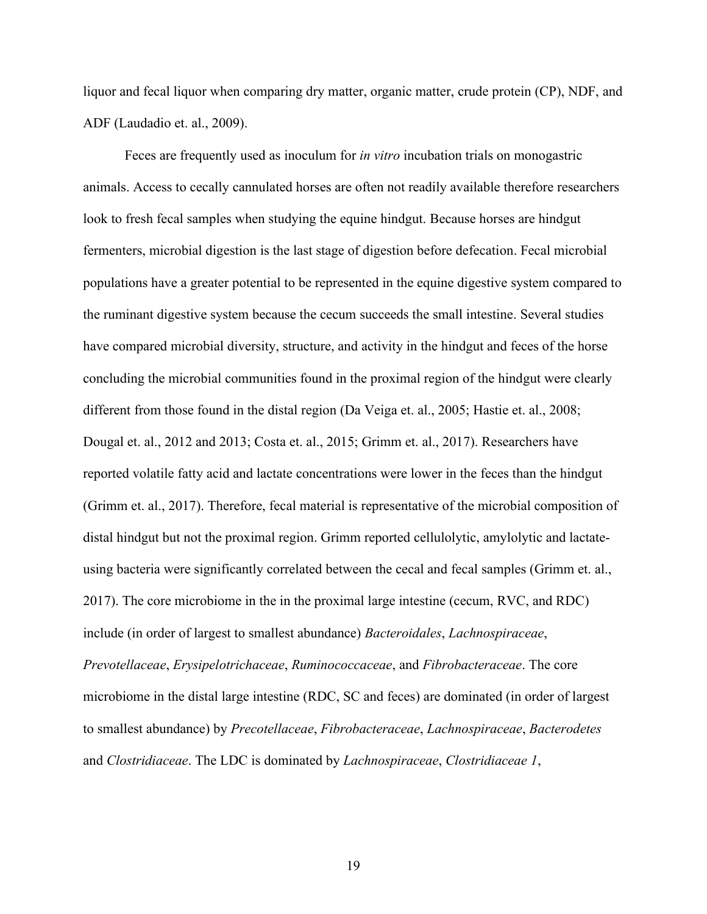liquor and fecal liquor when comparing dry matter, organic matter, crude protein (CP), NDF, and ADF (Laudadio et. al., 2009).

Feces are frequently used as inoculum for *in vitro* incubation trials on monogastric animals. Access to cecally cannulated horses are often not readily available therefore researchers look to fresh fecal samples when studying the equine hindgut. Because horses are hindgut fermenters, microbial digestion is the last stage of digestion before defecation. Fecal microbial populations have a greater potential to be represented in the equine digestive system compared to the ruminant digestive system because the cecum succeeds the small intestine. Several studies have compared microbial diversity, structure, and activity in the hindgut and feces of the horse concluding the microbial communities found in the proximal region of the hindgut were clearly different from those found in the distal region (Da Veiga et. al., 2005; Hastie et. al., 2008; Dougal et. al., 2012 and 2013; Costa et. al., 2015; Grimm et. al., 2017). Researchers have reported volatile fatty acid and lactate concentrations were lower in the feces than the hindgut (Grimm et. al., 2017). Therefore, fecal material is representative of the microbial composition of distal hindgut but not the proximal region. Grimm reported cellulolytic, amylolytic and lactateusing bacteria were significantly correlated between the cecal and fecal samples (Grimm et. al., 2017). The core microbiome in the in the proximal large intestine (cecum, RVC, and RDC) include (in order of largest to smallest abundance) *Bacteroidales*, *Lachnospiraceae*, *Prevotellaceae*, *Erysipelotrichaceae*, *Ruminococcaceae*, and *Fibrobacteraceae*. The core microbiome in the distal large intestine (RDC, SC and feces) are dominated (in order of largest to smallest abundance) by *Precotellaceae*, *Fibrobacteraceae*, *Lachnospiraceae*, *Bacterodetes* and *Clostridiaceae*. The LDC is dominated by *Lachnospiraceae*, *Clostridiaceae 1*,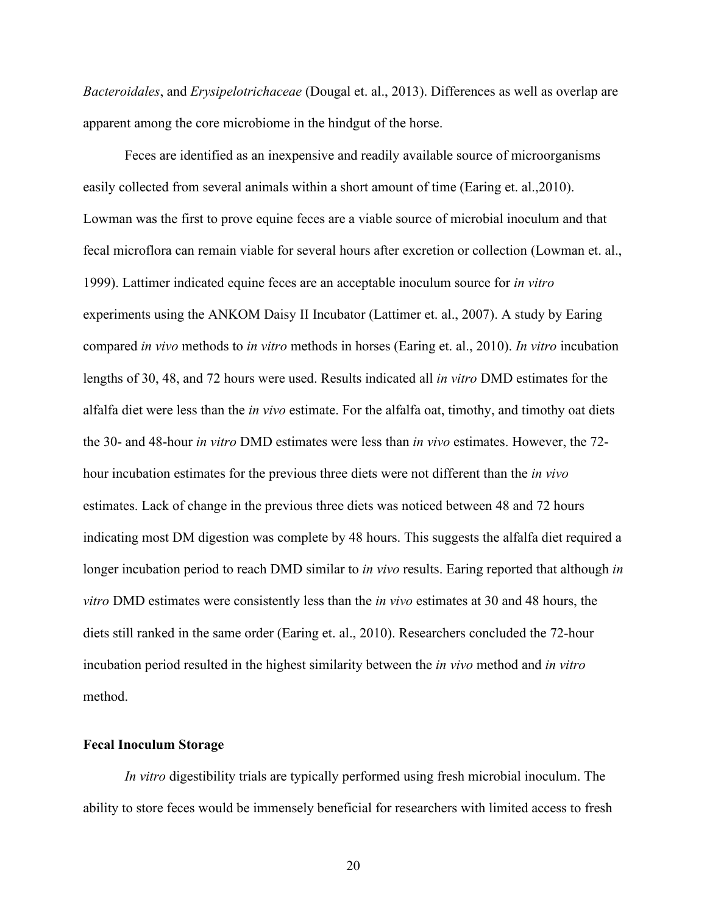*Bacteroidales*, and *Erysipelotrichaceae* (Dougal et. al., 2013). Differences as well as overlap are apparent among the core microbiome in the hindgut of the horse.

Feces are identified as an inexpensive and readily available source of microorganisms easily collected from several animals within a short amount of time (Earing et. al.,2010). Lowman was the first to prove equine feces are a viable source of microbial inoculum and that fecal microflora can remain viable for several hours after excretion or collection (Lowman et. al., 1999). Lattimer indicated equine feces are an acceptable inoculum source for *in vitro*  experiments using the ANKOM Daisy II Incubator (Lattimer et. al., 2007). A study by Earing compared *in vivo* methods to *in vitro* methods in horses (Earing et. al., 2010). *In vitro* incubation lengths of 30, 48, and 72 hours were used. Results indicated all *in vitro* DMD estimates for the alfalfa diet were less than the *in vivo* estimate. For the alfalfa oat, timothy, and timothy oat diets the 30- and 48-hour *in vitro* DMD estimates were less than *in vivo* estimates. However, the 72 hour incubation estimates for the previous three diets were not different than the *in vivo* estimates. Lack of change in the previous three diets was noticed between 48 and 72 hours indicating most DM digestion was complete by 48 hours. This suggests the alfalfa diet required a longer incubation period to reach DMD similar to *in vivo* results. Earing reported that although *in vitro* DMD estimates were consistently less than the *in vivo* estimates at 30 and 48 hours, the diets still ranked in the same order (Earing et. al., 2010). Researchers concluded the 72-hour incubation period resulted in the highest similarity between the *in vivo* method and *in vitro* method.

#### **Fecal Inoculum Storage**

*In vitro* digestibility trials are typically performed using fresh microbial inoculum. The ability to store feces would be immensely beneficial for researchers with limited access to fresh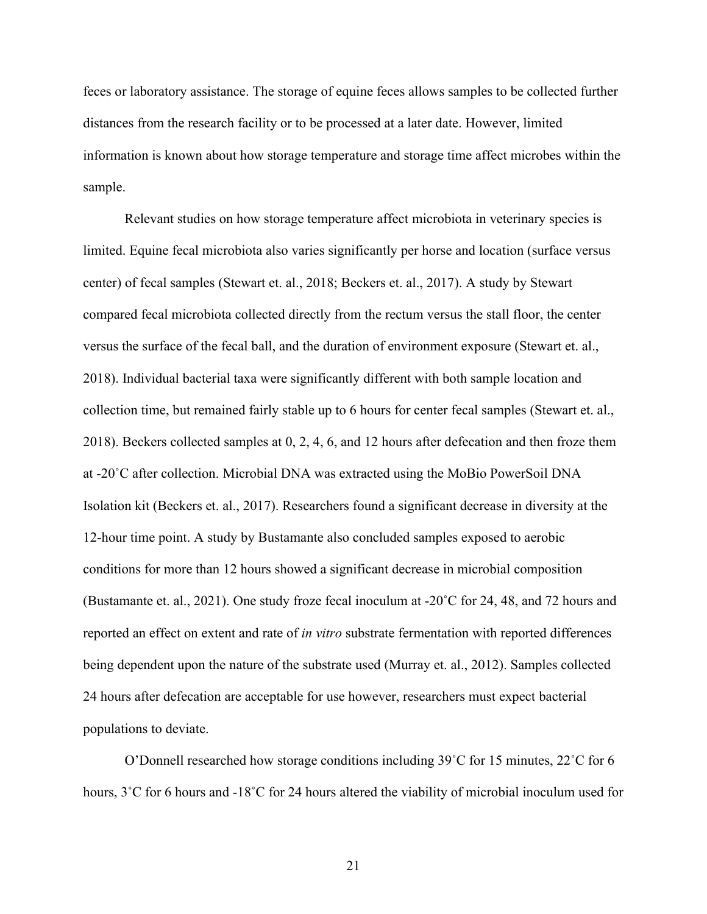feces or laboratory assistance. The storage of equine feces allows samples to be collected further distances from the research facility or to be processed at a later date. However, limited information is known about how storage temperature and storage time affect microbes within the sample.

Relevant studies on how storage temperature affect microbiota in veterinary species is limited. Equine fecal microbiota also varies significantly per horse and location (surface versus center) of fecal samples (Stewart et. al., 2018; Beckers et. al., 2017). A study by Stewart compared fecal microbiota collected directly from the rectum versus the stall floor, the center versus the surface of the fecal ball, and the duration of environment exposure (Stewart et. al., 2018). Individual bacterial taxa were significantly different with both sample location and collection time, but remained fairly stable up to 6 hours for center fecal samples (Stewart et. al., 2018). Beckers collected samples at 0, 2, 4, 6, and 12 hours after defecation and then froze them at -20˚C after collection. Microbial DNA was extracted using the MoBio PowerSoil DNA Isolation kit (Beckers et. al., 2017). Researchers found a significant decrease in diversity at the 12-hour time point. A study by Bustamante also concluded samples exposed to aerobic conditions for more than 12 hours showed a significant decrease in microbial composition (Bustamante et. al., 2021). One study froze fecal inoculum at -20˚C for 24, 48, and 72 hours and reported an effect on extent and rate of *in vitro* substrate fermentation with reported differences being dependent upon the nature of the substrate used (Murray et. al., 2012). Samples collected 24 hours after defecation are acceptable for use however, researchers must expect bacterial populations to deviate.

O'Donnell researched how storage conditions including 39˚C for 15 minutes, 22˚C for 6 hours, 3˚C for 6 hours and -18˚C for 24 hours altered the viability of microbial inoculum used for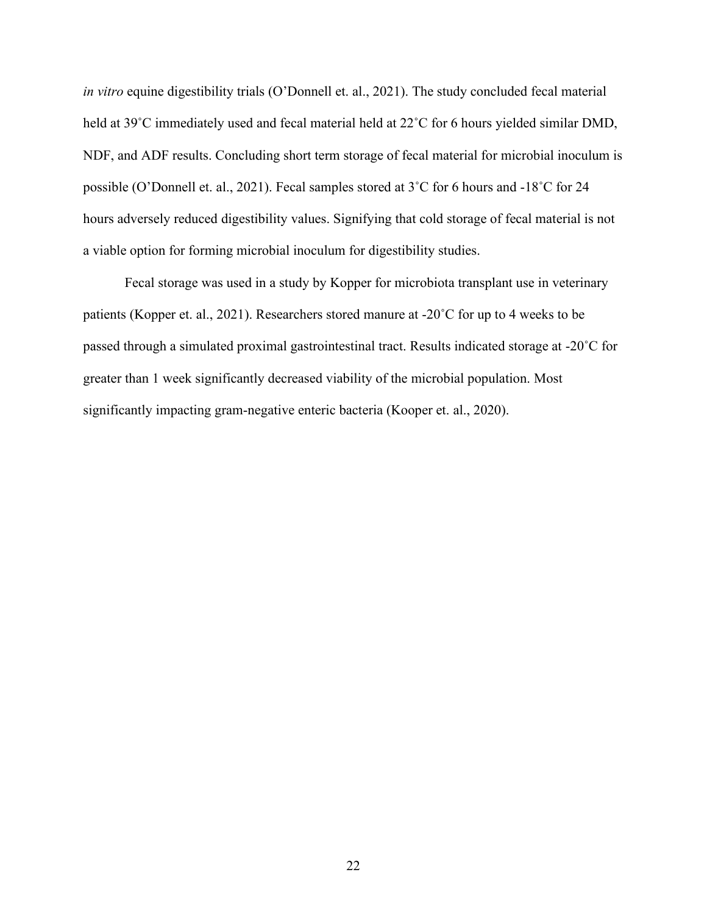*in vitro* equine digestibility trials (O'Donnell et. al., 2021). The study concluded fecal material held at 39°C immediately used and fecal material held at 22°C for 6 hours yielded similar DMD, NDF, and ADF results. Concluding short term storage of fecal material for microbial inoculum is possible (O'Donnell et. al., 2021). Fecal samples stored at 3˚C for 6 hours and -18˚C for 24 hours adversely reduced digestibility values. Signifying that cold storage of fecal material is not a viable option for forming microbial inoculum for digestibility studies.

Fecal storage was used in a study by Kopper for microbiota transplant use in veterinary patients (Kopper et. al., 2021). Researchers stored manure at -20˚C for up to 4 weeks to be passed through a simulated proximal gastrointestinal tract. Results indicated storage at -20˚C for greater than 1 week significantly decreased viability of the microbial population. Most significantly impacting gram-negative enteric bacteria (Kooper et. al., 2020).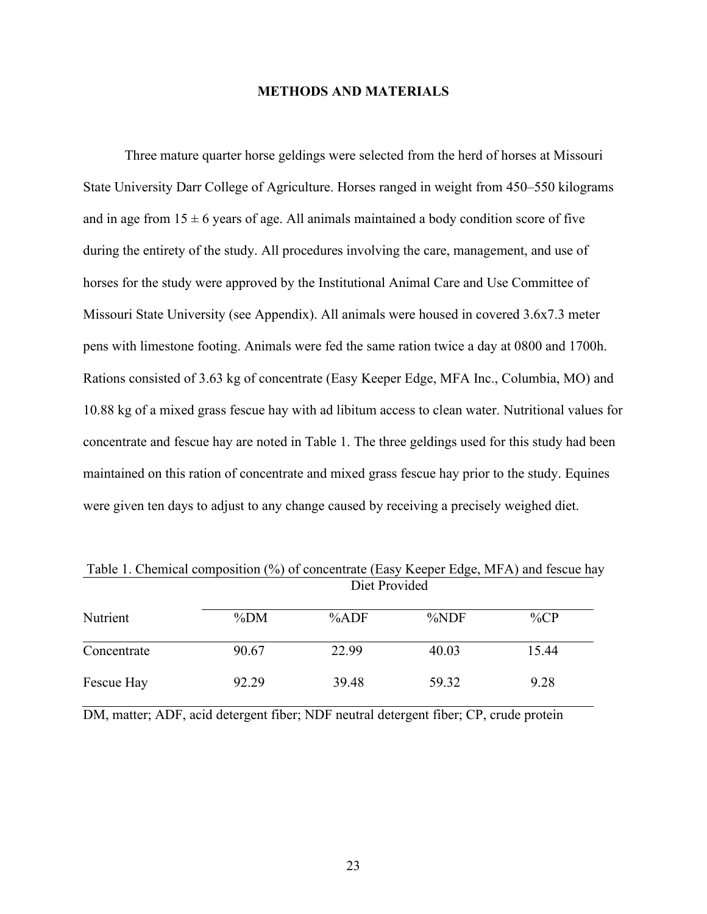#### **METHODS AND MATERIALS**

Three mature quarter horse geldings were selected from the herd of horses at Missouri State University Darr College of Agriculture. Horses ranged in weight from 450–550 kilograms and in age from  $15 \pm 6$  years of age. All animals maintained a body condition score of five during the entirety of the study. All procedures involving the care, management, and use of horses for the study were approved by the Institutional Animal Care and Use Committee of Missouri State University (see Appendix). All animals were housed in covered 3.6x7.3 meter pens with limestone footing. Animals were fed the same ration twice a day at 0800 and 1700h. Rations consisted of 3.63 kg of concentrate (Easy Keeper Edge, MFA Inc., Columbia, MO) and 10.88 kg of a mixed grass fescue hay with ad libitum access to clean water. Nutritional values for concentrate and fescue hay are noted in Table 1. The three geldings used for this study had been maintained on this ration of concentrate and mixed grass fescue hay prior to the study. Equines were given ten days to adjust to any change caused by receiving a precisely weighed diet.

| Nutrient    |        |       |         |         |  |
|-------------|--------|-------|---------|---------|--|
|             | $\%DM$ | %ADF  | $\%NDF$ | $\%$ CP |  |
| Concentrate | 90.67  | 22.99 | 40.03   | 15.44   |  |
| Fescue Hay  | 92.29  | 39.48 | 59.32   | 9.28    |  |

Table 1. Chemical composition (%) of concentrate (Easy Keeper Edge, MFA) and fescue hay

DM, matter; ADF, acid detergent fiber; NDF neutral detergent fiber; CP, crude protein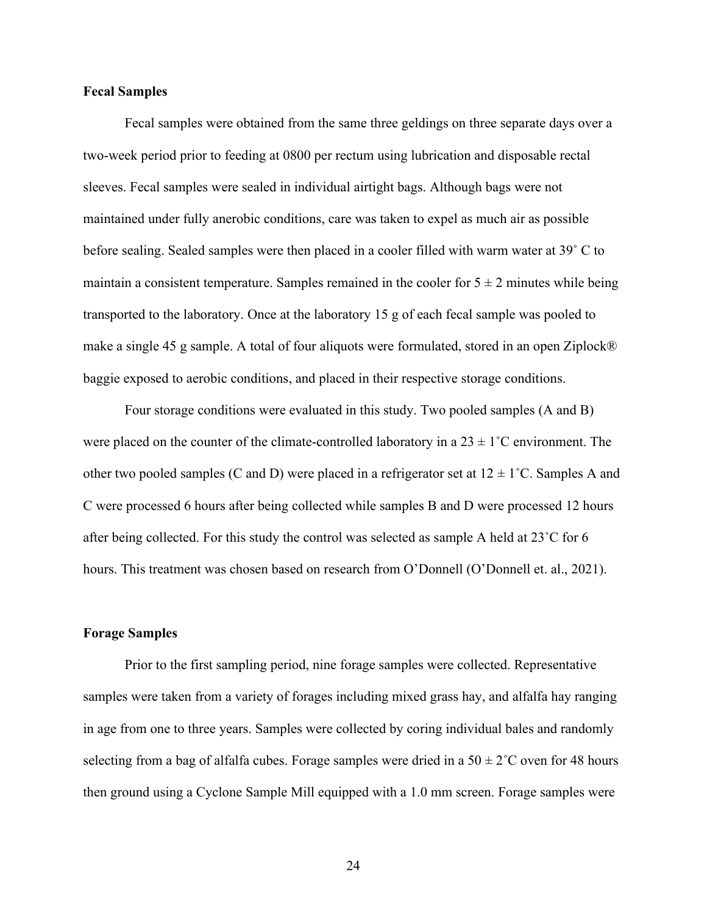#### **Fecal Samples**

Fecal samples were obtained from the same three geldings on three separate days over a two-week period prior to feeding at 0800 per rectum using lubrication and disposable rectal sleeves. Fecal samples were sealed in individual airtight bags. Although bags were not maintained under fully anerobic conditions, care was taken to expel as much air as possible before sealing. Sealed samples were then placed in a cooler filled with warm water at 39˚ C to maintain a consistent temperature. Samples remained in the cooler for  $5 \pm 2$  minutes while being transported to the laboratory. Once at the laboratory 15 g of each fecal sample was pooled to make a single 45 g sample. A total of four aliquots were formulated, stored in an open Ziplock® baggie exposed to aerobic conditions, and placed in their respective storage conditions.

Four storage conditions were evaluated in this study. Two pooled samples (A and B) were placed on the counter of the climate-controlled laboratory in a  $23 \pm 1^{\circ}$ C environment. The other two pooled samples (C and D) were placed in a refrigerator set at  $12 \pm 1^{\circ}$ C. Samples A and C were processed 6 hours after being collected while samples B and D were processed 12 hours after being collected. For this study the control was selected as sample A held at 23˚C for 6 hours. This treatment was chosen based on research from O'Donnell (O'Donnell et. al., 2021).

#### **Forage Samples**

Prior to the first sampling period, nine forage samples were collected. Representative samples were taken from a variety of forages including mixed grass hay, and alfalfa hay ranging in age from one to three years. Samples were collected by coring individual bales and randomly selecting from a bag of alfalfa cubes. Forage samples were dried in a  $50 \pm 2^{\circ}$ C oven for 48 hours then ground using a Cyclone Sample Mill equipped with a 1.0 mm screen. Forage samples were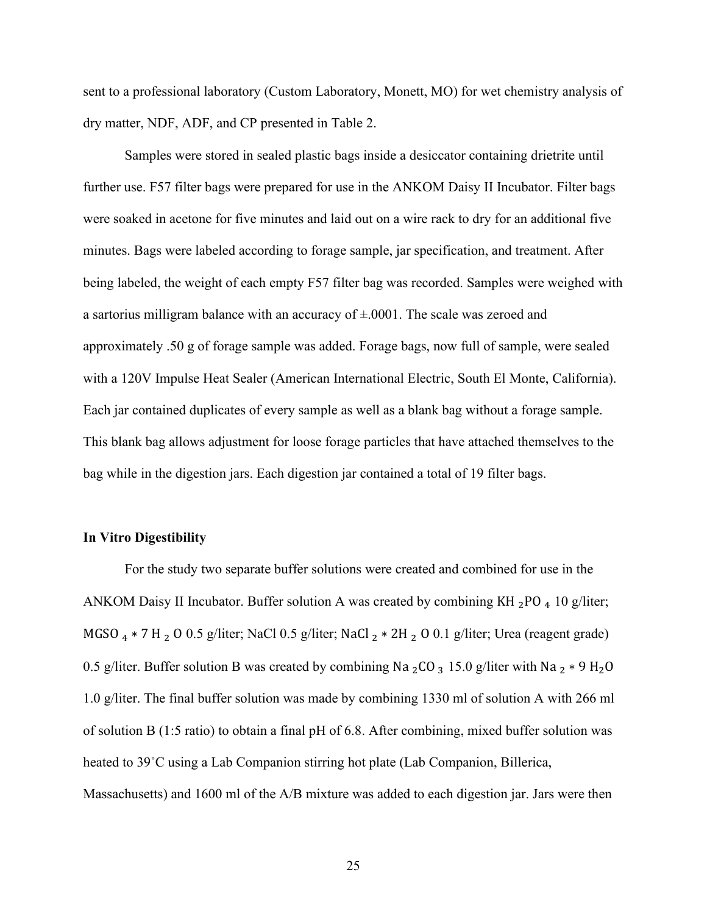sent to a professional laboratory (Custom Laboratory, Monett, MO) for wet chemistry analysis of dry matter, NDF, ADF, and CP presented in Table 2.

Samples were stored in sealed plastic bags inside a desiccator containing drietrite until further use. F57 filter bags were prepared for use in the ANKOM Daisy II Incubator. Filter bags were soaked in acetone for five minutes and laid out on a wire rack to dry for an additional five minutes. Bags were labeled according to forage sample, jar specification, and treatment. After being labeled, the weight of each empty F57 filter bag was recorded. Samples were weighed with a sartorius milligram balance with an accuracy of  $\pm 0.0001$ . The scale was zeroed and approximately .50 g of forage sample was added. Forage bags, now full of sample, were sealed with a 120V Impulse Heat Sealer (American International Electric, South El Monte, California). Each jar contained duplicates of every sample as well as a blank bag without a forage sample. This blank bag allows adjustment for loose forage particles that have attached themselves to the bag while in the digestion jars. Each digestion jar contained a total of 19 filter bags.

#### **In Vitro Digestibility**

For the study two separate buffer solutions were created and combined for use in the ANKOM Daisy II Incubator. Buffer solution A was created by combining KH  $_2$ PO  $_4$  10 g/liter; MGSO <sub>4</sub> \* 7 H <sub>2</sub> O 0.5 g/liter; NaCl 0.5 g/liter; NaCl <sub>2</sub> \* 2H <sub>2</sub> O 0.1 g/liter; Urea (reagent grade) 0.5 g/liter. Buffer solution B was created by combining Na <sub>2</sub>CO <sub>3</sub> 15.0 g/liter with Na <sub>2</sub> \* 9 H<sub>2</sub>O 1.0 g/liter. The final buffer solution was made by combining 1330 ml of solution A with 266 ml of solution B (1:5 ratio) to obtain a final pH of 6.8. After combining, mixed buffer solution was heated to 39˚C using a Lab Companion stirring hot plate (Lab Companion, Billerica, Massachusetts) and 1600 ml of the A/B mixture was added to each digestion jar. Jars were then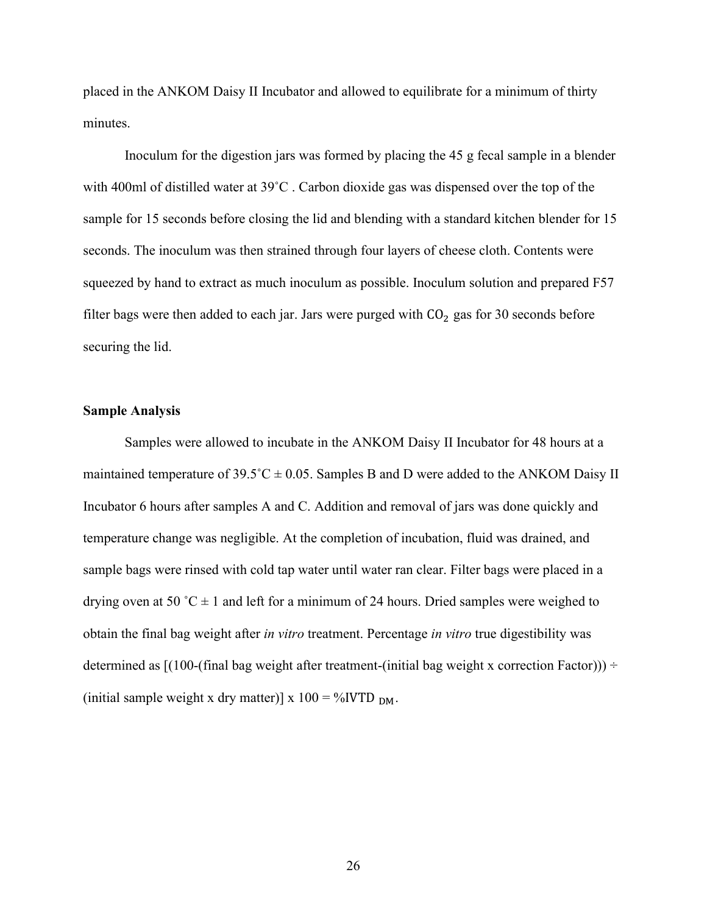placed in the ANKOM Daisy II Incubator and allowed to equilibrate for a minimum of thirty minutes.

Inoculum for the digestion jars was formed by placing the 45 g fecal sample in a blender with 400ml of distilled water at 39<sup>°</sup>C. Carbon dioxide gas was dispensed over the top of the sample for 15 seconds before closing the lid and blending with a standard kitchen blender for 15 seconds. The inoculum was then strained through four layers of cheese cloth. Contents were squeezed by hand to extract as much inoculum as possible. Inoculum solution and prepared F57 filter bags were then added to each jar. Jars were purged with  $CO<sub>2</sub>$  gas for 30 seconds before securing the lid.

#### **Sample Analysis**

Samples were allowed to incubate in the ANKOM Daisy II Incubator for 48 hours at a maintained temperature of  $39.5^{\circ}C \pm 0.05$ . Samples B and D were added to the ANKOM Daisy II Incubator 6 hours after samples A and C. Addition and removal of jars was done quickly and temperature change was negligible. At the completion of incubation, fluid was drained, and sample bags were rinsed with cold tap water until water ran clear. Filter bags were placed in a drying oven at 50 °C  $\pm$  1 and left for a minimum of 24 hours. Dried samples were weighed to obtain the final bag weight after *in vitro* treatment. Percentage *in vitro* true digestibility was determined as  $[(100-(\text{final bag weight after treatment}-(\text{initial bag weight x correction Factor})))$  ÷ (initial sample weight x dry matter)] x  $100 = \%$  IVTD  $_{DM}$ .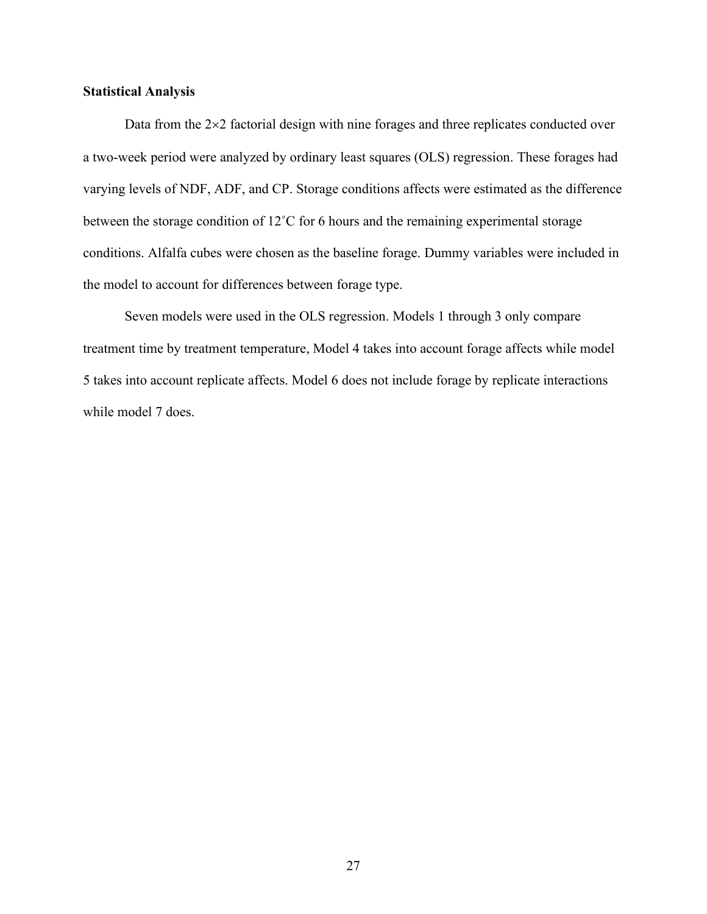#### **Statistical Analysis**

Data from the  $2\times2$  factorial design with nine forages and three replicates conducted over a two-week period were analyzed by ordinary least squares (OLS) regression. These forages had varying levels of NDF, ADF, and CP. Storage conditions affects were estimated as the difference between the storage condition of 12˚C for 6 hours and the remaining experimental storage conditions. Alfalfa cubes were chosen as the baseline forage. Dummy variables were included in the model to account for differences between forage type.

Seven models were used in the OLS regression. Models 1 through 3 only compare treatment time by treatment temperature, Model 4 takes into account forage affects while model 5 takes into account replicate affects. Model 6 does not include forage by replicate interactions while model 7 does.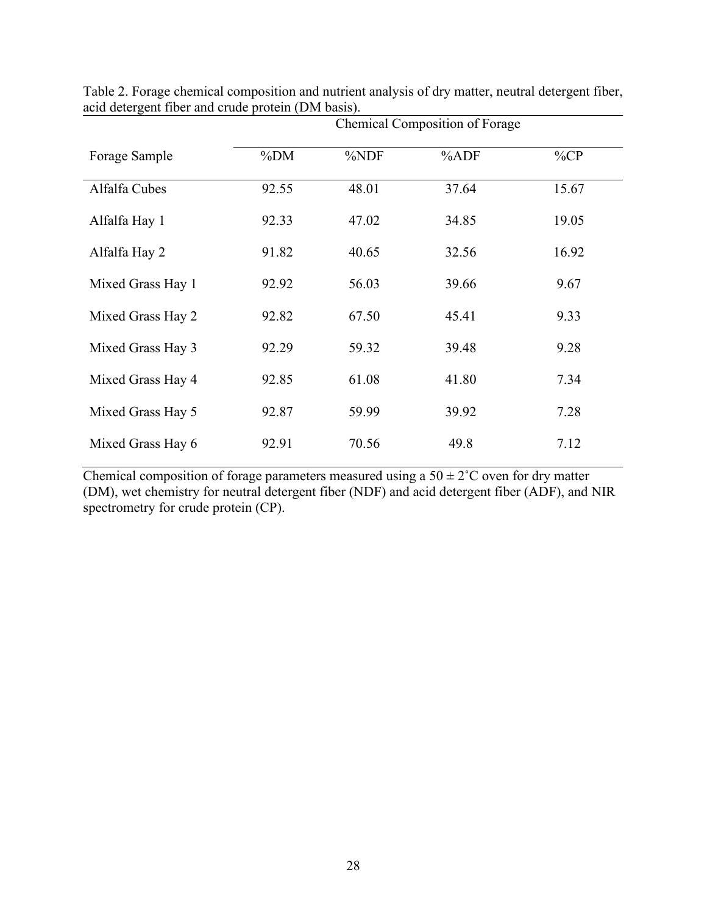|                   | Chemical Composition of Forage |       |       |         |  |
|-------------------|--------------------------------|-------|-------|---------|--|
| Forage Sample     | $\%DM$                         | %NDF  | %ADF  | $\%$ CP |  |
| Alfalfa Cubes     | 92.55                          | 48.01 | 37.64 | 15.67   |  |
| Alfalfa Hay 1     | 92.33                          | 47.02 | 34.85 | 19.05   |  |
| Alfalfa Hay 2     | 91.82                          | 40.65 | 32.56 | 16.92   |  |
| Mixed Grass Hay 1 | 92.92                          | 56.03 | 39.66 | 9.67    |  |
| Mixed Grass Hay 2 | 92.82                          | 67.50 | 45.41 | 9.33    |  |
| Mixed Grass Hay 3 | 92.29                          | 59.32 | 39.48 | 9.28    |  |
| Mixed Grass Hay 4 | 92.85                          | 61.08 | 41.80 | 7.34    |  |
| Mixed Grass Hay 5 | 92.87                          | 59.99 | 39.92 | 7.28    |  |
| Mixed Grass Hay 6 | 92.91                          | 70.56 | 49.8  | 7.12    |  |

Table 2. Forage chemical composition and nutrient analysis of dry matter, neutral detergent fiber, acid detergent fiber and crude protein (DM basis).

Chemical composition of forage parameters measured using a  $50 \pm 2^{\circ}$ C oven for dry matter (DM), wet chemistry for neutral detergent fiber (NDF) and acid detergent fiber (ADF), and NIR spectrometry for crude protein (CP).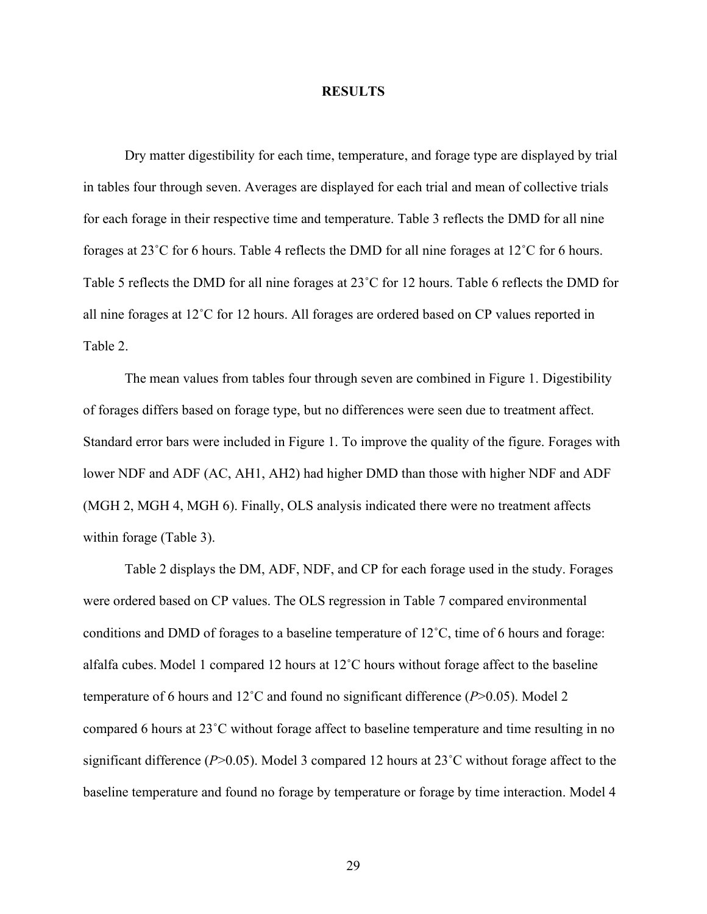#### **RESULTS**

Dry matter digestibility for each time, temperature, and forage type are displayed by trial in tables four through seven. Averages are displayed for each trial and mean of collective trials for each forage in their respective time and temperature. Table 3 reflects the DMD for all nine forages at 23˚C for 6 hours. Table 4 reflects the DMD for all nine forages at 12˚C for 6 hours. Table 5 reflects the DMD for all nine forages at 23˚C for 12 hours. Table 6 reflects the DMD for all nine forages at 12˚C for 12 hours. All forages are ordered based on CP values reported in Table 2.

The mean values from tables four through seven are combined in Figure 1. Digestibility of forages differs based on forage type, but no differences were seen due to treatment affect. Standard error bars were included in Figure 1. To improve the quality of the figure. Forages with lower NDF and ADF (AC, AH1, AH2) had higher DMD than those with higher NDF and ADF (MGH 2, MGH 4, MGH 6). Finally, OLS analysis indicated there were no treatment affects within forage (Table 3).

Table 2 displays the DM, ADF, NDF, and CP for each forage used in the study. Forages were ordered based on CP values. The OLS regression in Table 7 compared environmental conditions and DMD of forages to a baseline temperature of 12˚C, time of 6 hours and forage: alfalfa cubes. Model 1 compared 12 hours at 12˚C hours without forage affect to the baseline temperature of 6 hours and 12˚C and found no significant difference (*P*>0.05). Model 2 compared 6 hours at 23˚C without forage affect to baseline temperature and time resulting in no significant difference (*P*>0.05). Model 3 compared 12 hours at 23˚C without forage affect to the baseline temperature and found no forage by temperature or forage by time interaction. Model 4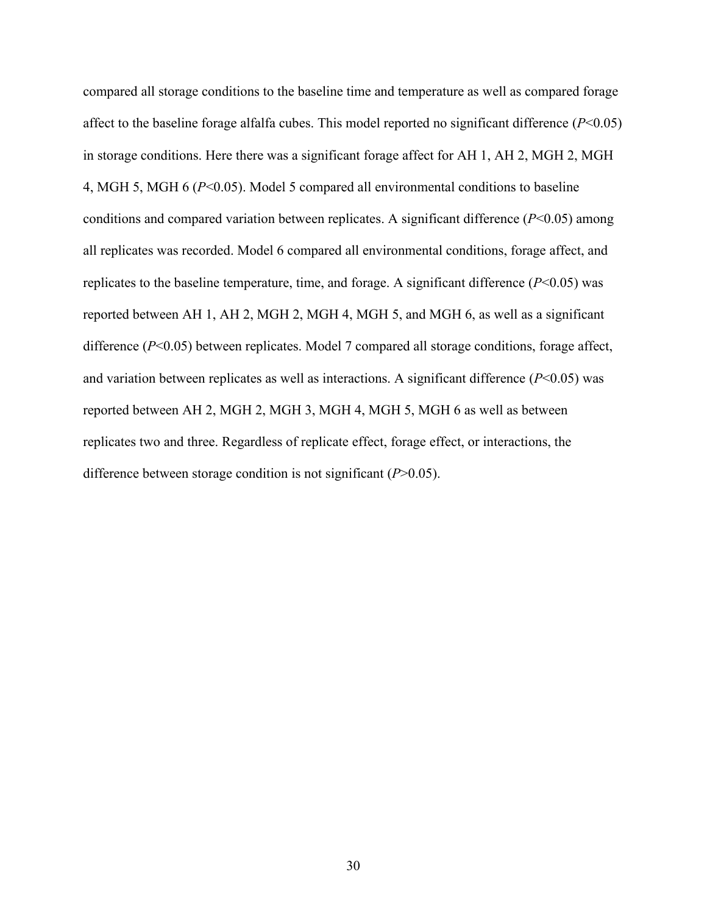compared all storage conditions to the baseline time and temperature as well as compared forage affect to the baseline forage alfalfa cubes. This model reported no significant difference (*P*<0.05) in storage conditions. Here there was a significant forage affect for AH 1, AH 2, MGH 2, MGH 4, MGH 5, MGH 6 (*P*<0.05). Model 5 compared all environmental conditions to baseline conditions and compared variation between replicates. A significant difference (*P*<0.05) among all replicates was recorded. Model 6 compared all environmental conditions, forage affect, and replicates to the baseline temperature, time, and forage. A significant difference  $(P<0.05)$  was reported between AH 1, AH 2, MGH 2, MGH 4, MGH 5, and MGH 6, as well as a significant difference (*P*<0.05) between replicates. Model 7 compared all storage conditions, forage affect, and variation between replicates as well as interactions. A significant difference (*P*<0.05) was reported between AH 2, MGH 2, MGH 3, MGH 4, MGH 5, MGH 6 as well as between replicates two and three. Regardless of replicate effect, forage effect, or interactions, the difference between storage condition is not significant (*P*>0.05).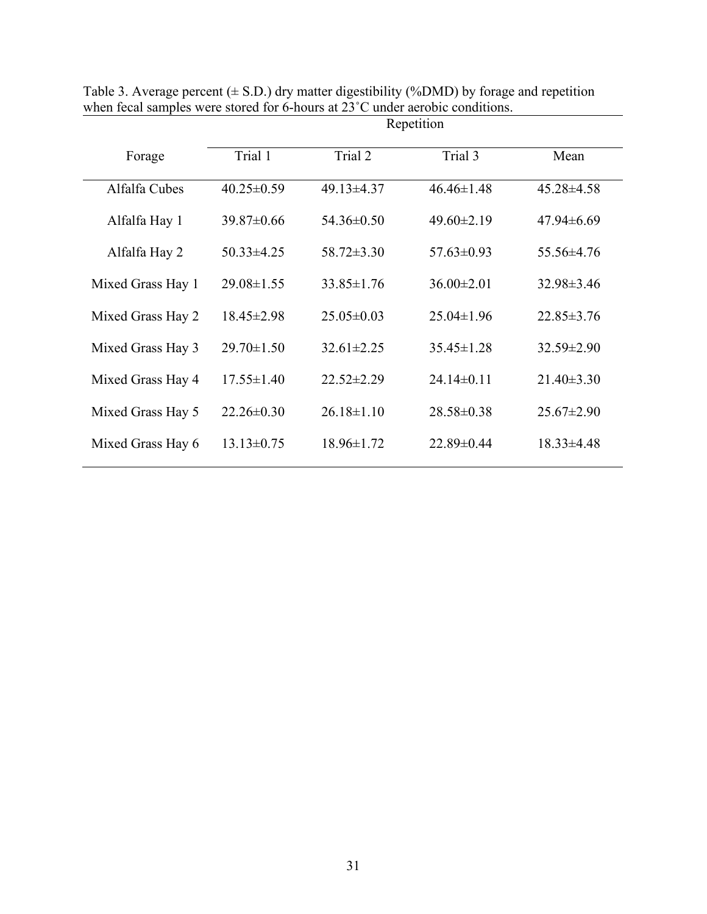|                   | Repetition       |                  |                  |                  |  |
|-------------------|------------------|------------------|------------------|------------------|--|
| Forage            | Trial 1          | Trial 2          | Trial 3          | Mean             |  |
| Alfalfa Cubes     | $40.25 \pm 0.59$ | $49.13 \pm 4.37$ | $46.46 \pm 1.48$ | $45.28 \pm 4.58$ |  |
| Alfalfa Hay 1     | $39.87\pm0.66$   | $54.36\pm0.50$   | $49.60 \pm 2.19$ | $47.94\pm 6.69$  |  |
| Alfalfa Hay 2     | $50.33 \pm 4.25$ | $58.72 \pm 3.30$ | $57.63 \pm 0.93$ | 55.56±4.76       |  |
| Mixed Grass Hay 1 | $29.08 \pm 1.55$ | $33.85 \pm 1.76$ | $36.00 \pm 2.01$ | $32.98 \pm 3.46$ |  |
| Mixed Grass Hay 2 | $18.45 \pm 2.98$ | $25.05 \pm 0.03$ | $25.04\pm1.96$   | $22.85 \pm 3.76$ |  |
| Mixed Grass Hay 3 | $29.70 \pm 1.50$ | $32.61 \pm 2.25$ | $35.45 \pm 1.28$ | $32.59 \pm 2.90$ |  |
| Mixed Grass Hay 4 | $17.55 \pm 1.40$ | $22.52 \pm 2.29$ | $24.14\pm0.11$   | $21.40 \pm 3.30$ |  |
| Mixed Grass Hay 5 | $22.26 \pm 0.30$ | $26.18 \pm 1.10$ | $28.58 \pm 0.38$ | $25.67 \pm 2.90$ |  |
| Mixed Grass Hay 6 | $13.13 \pm 0.75$ | 18.96±1.72       | 22.89±0.44       | $18.33 \pm 4.48$ |  |
|                   |                  |                  |                  |                  |  |

Table 3. Average percent  $(\pm S.D.)$  dry matter digestibility (%DMD) by forage and repetition when fecal samples were stored for 6-hours at 23°C under aerobic conditions.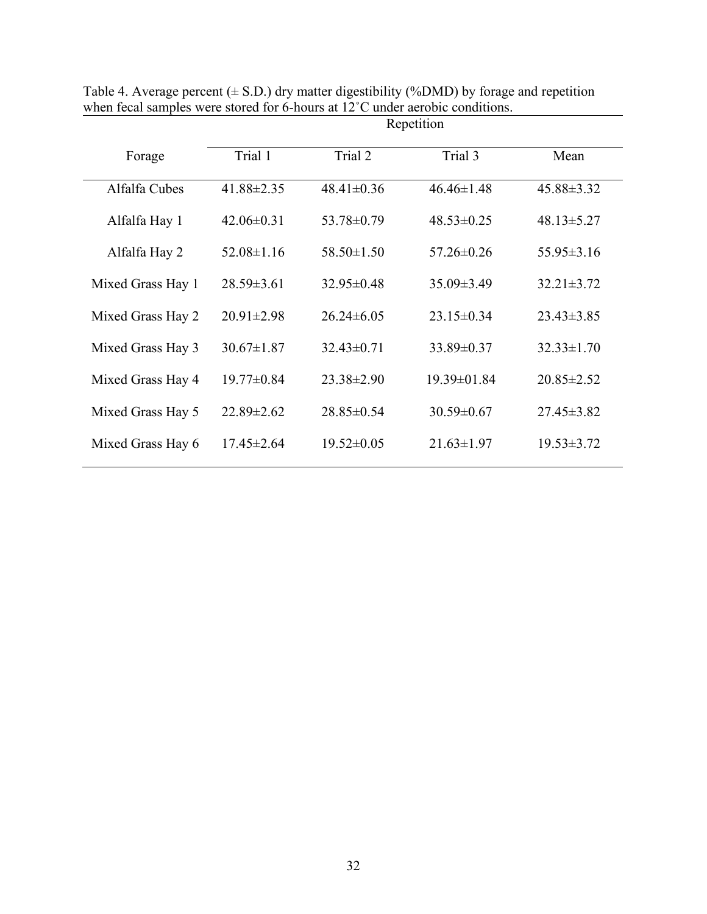| Repetition       |                  |                  |                  |  |
|------------------|------------------|------------------|------------------|--|
| Trial 1          | Trial 2          | Trial 3          | Mean             |  |
| $41.88 \pm 2.35$ | $48.41 \pm 0.36$ | $46.46 \pm 1.48$ | 45.88±3.32       |  |
| $42.06\pm0.31$   | 53.78±0.79       | $48.53 \pm 0.25$ | $48.13 \pm 5.27$ |  |
| $52.08 \pm 1.16$ | $58.50 \pm 1.50$ | $57.26 \pm 0.26$ | $55.95 \pm 3.16$ |  |
| $28.59 \pm 3.61$ | $32.95 \pm 0.48$ | $35.09 \pm 3.49$ | $32.21 \pm 3.72$ |  |
| $20.91 \pm 2.98$ | $26.24\pm 6.05$  | $23.15 \pm 0.34$ | $23.43 \pm 3.85$ |  |
| $30.67 \pm 1.87$ | $32.43 \pm 0.71$ | 33.89±0.37       | $32.33 \pm 1.70$ |  |
| $19.77 \pm 0.84$ | $23.38 \pm 2.90$ | 19.39±01.84      | $20.85 \pm 2.52$ |  |
| $22.89 \pm 2.62$ | $28.85 \pm 0.54$ | $30.59 \pm 0.67$ | $27.45 \pm 3.82$ |  |
| $17.45 \pm 2.64$ | $19.52 \pm 0.05$ | $21.63 \pm 1.97$ | $19.53 \pm 3.72$ |  |
|                  |                  |                  |                  |  |

Table 4. Average percent  $(\pm S.D.)$  dry matter digestibility (%DMD) by forage and repetition when fecal samples were stored for 6-hours at 12°C under aerobic conditions.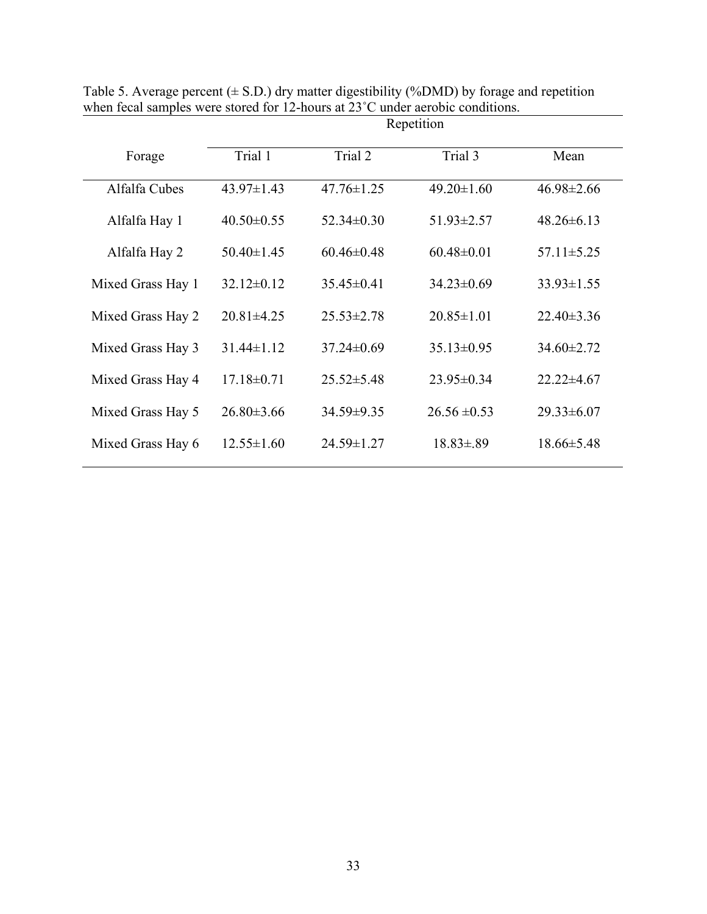|                   | Repetition       |                  |                  |                  |  |
|-------------------|------------------|------------------|------------------|------------------|--|
| Forage            | Trial 1          | Trial 2          | Trial 3          | Mean             |  |
| Alfalfa Cubes     | $43.97 \pm 1.43$ | $47.76 \pm 1.25$ | $49.20 \pm 1.60$ | $46.98 \pm 2.66$ |  |
| Alfalfa Hay 1     | $40.50 \pm 0.55$ | $52.34 \pm 0.30$ | $51.93 \pm 2.57$ | $48.26 \pm 6.13$ |  |
| Alfalfa Hay 2     | $50.40 \pm 1.45$ | $60.46 \pm 0.48$ | $60.48 \pm 0.01$ | $57.11 \pm 5.25$ |  |
| Mixed Grass Hay 1 | $32.12 \pm 0.12$ | $35.45 \pm 0.41$ | $34.23 \pm 0.69$ | $33.93 \pm 1.55$ |  |
| Mixed Grass Hay 2 | $20.81 \pm 4.25$ | $25.53 \pm 2.78$ | $20.85 \pm 1.01$ | $22.40 \pm 3.36$ |  |
| Mixed Grass Hay 3 | $31.44 \pm 1.12$ | $37.24 \pm 0.69$ | $35.13 \pm 0.95$ | $34.60 \pm 2.72$ |  |
| Mixed Grass Hay 4 | $17.18 \pm 0.71$ | $25.52 \pm 5.48$ | $23.95 \pm 0.34$ | $22.22 \pm 4.67$ |  |
| Mixed Grass Hay 5 | $26.80 \pm 3.66$ | 34.59±9.35       | $26.56 \pm 0.53$ | $29.33 \pm 6.07$ |  |
| Mixed Grass Hay 6 | $12.55 \pm 1.60$ | 24.59±1.27       | $18.83 \pm .89$  | $18.66 \pm 5.48$ |  |
|                   |                  |                  |                  |                  |  |

Table 5. Average percent  $(\pm S.D.)$  dry matter digestibility (%DMD) by forage and repetition when fecal samples were stored for 12-hours at 23<sup>°</sup>C under aerobic conditions.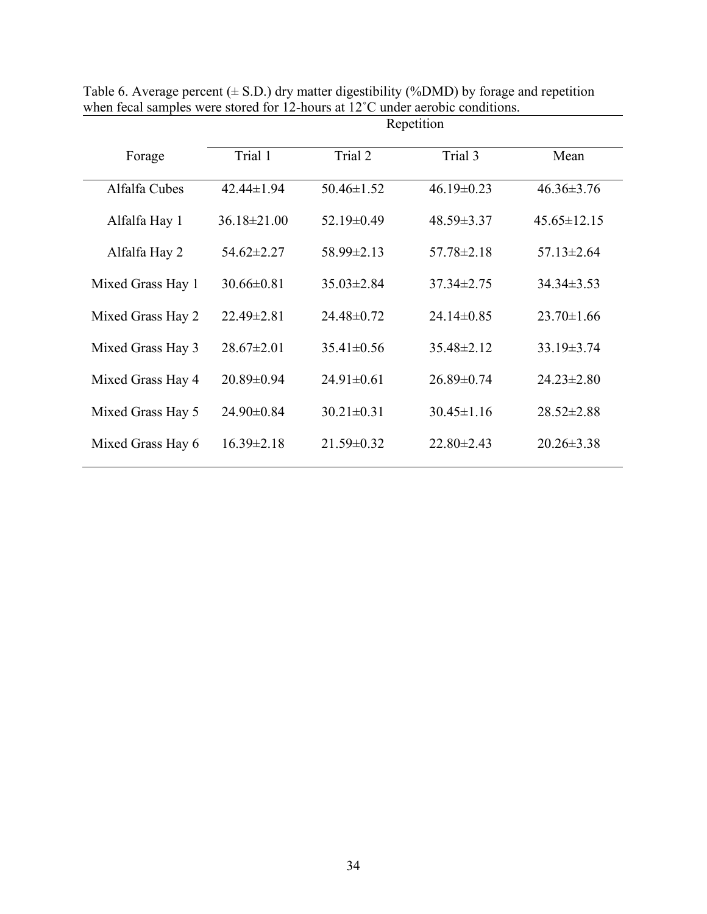|                   | Repetition        |                  |                  |                   |  |
|-------------------|-------------------|------------------|------------------|-------------------|--|
| Forage            | Trial 1           | Trial 2          | Trial 3          | Mean              |  |
| Alfalfa Cubes     | $42.44 \pm 1.94$  | $50.46 \pm 1.52$ | $46.19 \pm 0.23$ | $46.36 \pm 3.76$  |  |
| Alfalfa Hay 1     | $36.18 \pm 21.00$ | $52.19 \pm 0.49$ | $48.59 \pm 3.37$ | $45.65 \pm 12.15$ |  |
| Alfalfa Hay 2     | $54.62 \pm 2.27$  | $58.99 \pm 2.13$ | $57.78 \pm 2.18$ | $57.13 \pm 2.64$  |  |
| Mixed Grass Hay 1 | $30.66 \pm 0.81$  | $35.03 \pm 2.84$ | $37.34 \pm 2.75$ | $34.34 \pm 3.53$  |  |
| Mixed Grass Hay 2 | $22.49 \pm 2.81$  | $24.48 \pm 0.72$ | $24.14\pm0.85$   | $23.70 \pm 1.66$  |  |
| Mixed Grass Hay 3 | $28.67 \pm 2.01$  | $35.41 \pm 0.56$ | $35.48 \pm 2.12$ | $33.19 \pm 3.74$  |  |
| Mixed Grass Hay 4 | $20.89 \pm 0.94$  | $24.91 \pm 0.61$ | $26.89 \pm 0.74$ | $24.23 \pm 2.80$  |  |
| Mixed Grass Hay 5 | $24.90 \pm 0.84$  | $30.21 \pm 0.31$ | $30.45 \pm 1.16$ | $28.52 \pm 2.88$  |  |
| Mixed Grass Hay 6 | $16.39 \pm 2.18$  | $21.59 \pm 0.32$ | $22.80 \pm 2.43$ | $20.26 \pm 3.38$  |  |

Table 6. Average percent  $(\pm S.D.)$  dry matter digestibility (%DMD) by forage and repetition when fecal samples were stored for 12-hours at 12<sup>°</sup>C under aerobic conditions.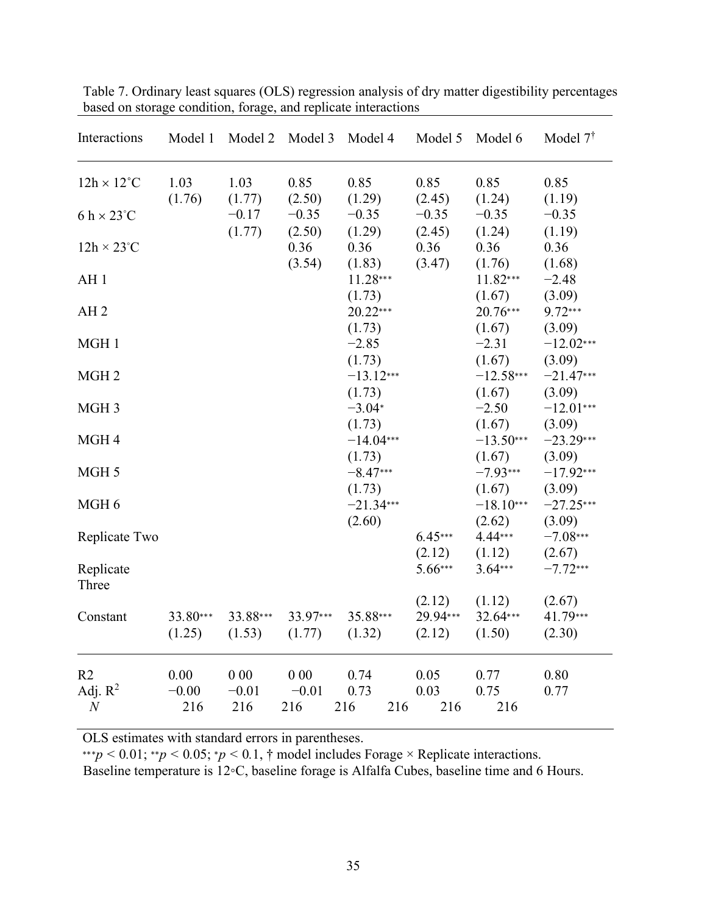| Interactions                                     | Model 1                | Model 2               | Model 3               | Model 4                        | Model 5                      | Model 6                         | Model 7 <sup>†</sup>            |
|--------------------------------------------------|------------------------|-----------------------|-----------------------|--------------------------------|------------------------------|---------------------------------|---------------------------------|
| $12h \times 12^{\circ}C$                         | 1.03                   | 1.03                  | 0.85                  | 0.85                           | 0.85                         | 0.85                            | 0.85                            |
| $6 h \times 23^{\circ}C$                         | (1.76)                 | (1.77)<br>$-0.17$     | (2.50)<br>$-0.35$     | (1.29)<br>$-0.35$              | (2.45)<br>$-0.35$            | (1.24)<br>$-0.35$               | (1.19)<br>$-0.35$               |
| $12h \times 23^{\circ}C$                         |                        | (1.77)                | (2.50)<br>0.36        | (1.29)<br>0.36                 | (2.45)<br>0.36               | (1.24)<br>0.36                  | (1.19)<br>0.36                  |
| AH <sub>1</sub>                                  |                        |                       | (3.54)                | (1.83)<br>11.28***             | (3.47)                       | (1.76)<br>11.82***              | (1.68)<br>$-2.48$               |
| AH <sub>2</sub>                                  |                        |                       |                       | (1.73)<br>$20.22***$           |                              | (1.67)<br>20.76***              | (3.09)<br>$9.72***$             |
| MGH 1                                            |                        |                       |                       | (1.73)<br>$-2.85$              |                              | (1.67)<br>$-2.31$               | (3.09)<br>$-12.02***$           |
| MGH <sub>2</sub>                                 |                        |                       |                       | (1.73)<br>$-13.12***$          |                              | (1.67)<br>$-12.58***$           | (3.09)<br>$-21.47***$           |
| MGH <sub>3</sub>                                 |                        |                       |                       | (1.73)<br>$-3.04*$             |                              | (1.67)<br>$-2.50$               | (3.09)<br>$-12.01***$           |
| MGH4                                             |                        |                       |                       | (1.73)<br>$-14.04***$          |                              | (1.67)<br>$-13.50***$<br>(1.67) | (3.09)<br>$-23.29***$           |
| MGH 5                                            |                        |                       |                       | (1.73)<br>$-8.47***$<br>(1.73) |                              | $-7.93***$<br>(1.67)            | (3.09)<br>$-17.92***$<br>(3.09) |
| MGH <sub>6</sub>                                 |                        |                       |                       | $-21.34***$<br>(2.60)          |                              | $-18.10***$<br>(2.62)           | $-27.25***$<br>(3.09)           |
| Replicate Two                                    |                        |                       |                       |                                | $6.45***$<br>(2.12)          | $4.44***$<br>(1.12)             | $-7.08***$<br>(2.67)            |
| Replicate<br>Three                               |                        |                       |                       |                                | 5.66***                      | $3.64***$                       | $-7.72***$                      |
| Constant                                         | 33.80***<br>(1.25)     | 33.88***<br>(1.53)    | 33.97***<br>(1.77)    | 35.88***<br>(1.32)             | (2.12)<br>29.94***<br>(2.12) | (1.12)<br>32.64***<br>(1.50)    | (2.67)<br>41.79***<br>(2.30)    |
| R <sub>2</sub><br>Adj. $R^2$<br>$\boldsymbol{N}$ | 0.00<br>$-0.00$<br>216 | 000<br>$-0.01$<br>216 | 000<br>$-0.01$<br>216 | 0.74<br>0.73<br>216<br>216     | 0.05<br>0.03<br>216          | 0.77<br>0.75<br>216             | 0.80<br>0.77                    |

Table 7. Ordinary least squares (OLS) regression analysis of dry matter digestibility percentages based on storage condition, forage, and replicate interactions

OLS estimates with standard errors in parentheses.

∗∗∗*p <* 0*.*01; ∗∗*p <* 0*.*05; ∗*p <* 0*.*1, † model includes Forage × Replicate interactions.

Baseline temperature is 12◦C, baseline forage is Alfalfa Cubes, baseline time and 6 Hours.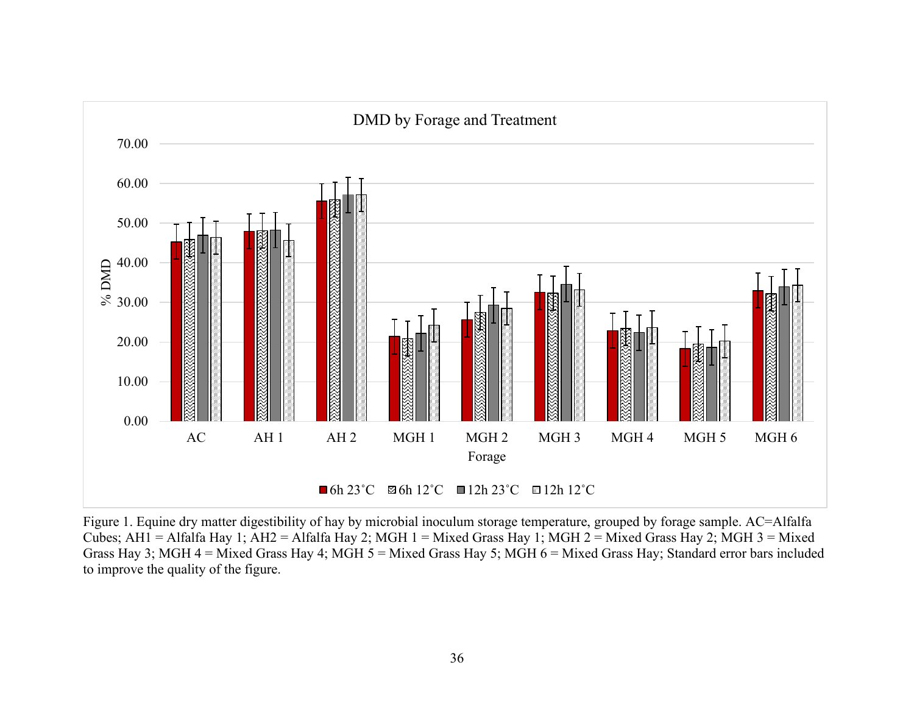

Figure 1. Equine dry matter digestibility of hay by microbial inoculum storage temperature, grouped by forage sample. AC=Alfalfa Cubes; AH1 = Alfalfa Hay 1; AH2 = Alfalfa Hay 2; MGH 1 = Mixed Grass Hay 1; MGH 2 = Mixed Grass Hay 2; MGH 3 = Mixed Grass Hay 3; MGH 4 = Mixed Grass Hay 4; MGH 5 = Mixed Grass Hay 5; MGH 6 = Mixed Grass Hay; Standard error bars included to improve the quality of the figure.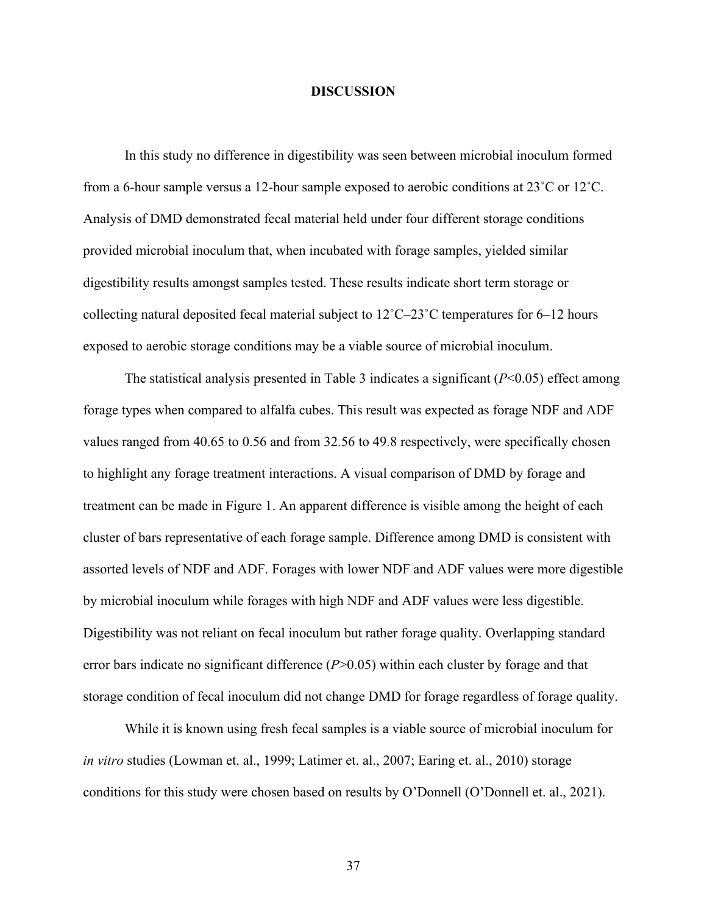#### **DISCUSSION**

In this study no difference in digestibility was seen between microbial inoculum formed from a 6-hour sample versus a 12-hour sample exposed to aerobic conditions at 23˚C or 12˚C. Analysis of DMD demonstrated fecal material held under four different storage conditions provided microbial inoculum that, when incubated with forage samples, yielded similar digestibility results amongst samples tested. These results indicate short term storage or collecting natural deposited fecal material subject to 12˚C–23˚C temperatures for 6–12 hours exposed to aerobic storage conditions may be a viable source of microbial inoculum.

The statistical analysis presented in Table 3 indicates a significant (*P*<0.05) effect among forage types when compared to alfalfa cubes. This result was expected as forage NDF and ADF values ranged from 40.65 to 0.56 and from 32.56 to 49.8 respectively, were specifically chosen to highlight any forage treatment interactions. A visual comparison of DMD by forage and treatment can be made in Figure 1. An apparent difference is visible among the height of each cluster of bars representative of each forage sample. Difference among DMD is consistent with assorted levels of NDF and ADF. Forages with lower NDF and ADF values were more digestible by microbial inoculum while forages with high NDF and ADF values were less digestible. Digestibility was not reliant on fecal inoculum but rather forage quality. Overlapping standard error bars indicate no significant difference (*P*>0.05) within each cluster by forage and that storage condition of fecal inoculum did not change DMD for forage regardless of forage quality.

While it is known using fresh fecal samples is a viable source of microbial inoculum for *in vitro* studies (Lowman et. al., 1999; Latimer et. al., 2007; Earing et. al., 2010) storage conditions for this study were chosen based on results by O'Donnell (O'Donnell et. al., 2021).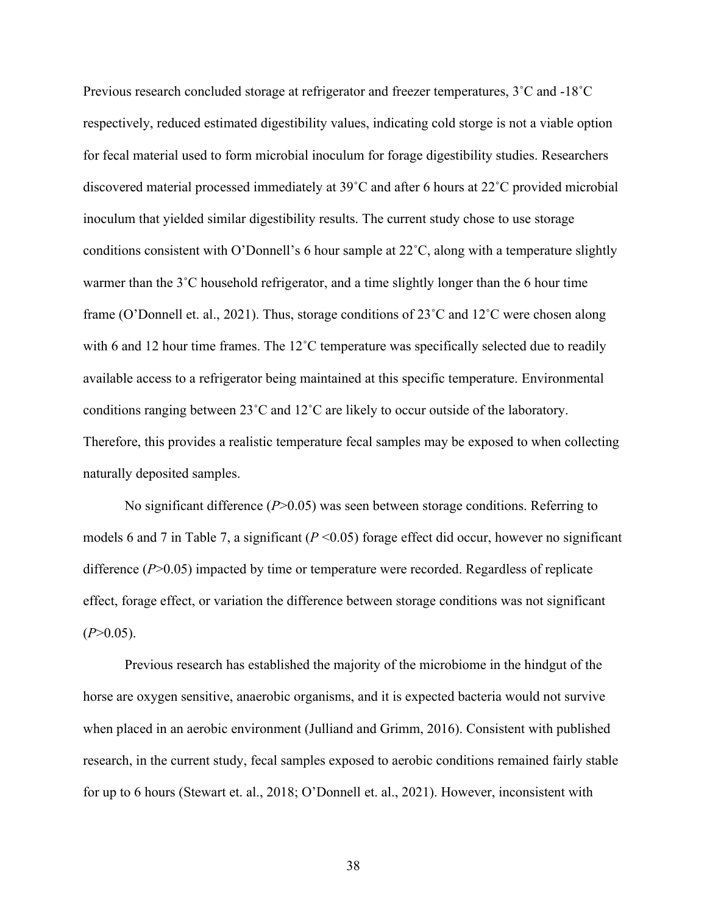Previous research concluded storage at refrigerator and freezer temperatures, 3˚C and -18˚C respectively, reduced estimated digestibility values, indicating cold storge is not a viable option for fecal material used to form microbial inoculum for forage digestibility studies. Researchers discovered material processed immediately at 39˚C and after 6 hours at 22˚C provided microbial inoculum that yielded similar digestibility results. The current study chose to use storage conditions consistent with O'Donnell's 6 hour sample at 22˚C, along with a temperature slightly warmer than the 3˚C household refrigerator, and a time slightly longer than the 6 hour time frame (O'Donnell et. al., 2021). Thus, storage conditions of 23˚C and 12˚C were chosen along with 6 and 12 hour time frames. The 12<sup>°</sup>C temperature was specifically selected due to readily available access to a refrigerator being maintained at this specific temperature. Environmental conditions ranging between 23˚C and 12˚C are likely to occur outside of the laboratory. Therefore, this provides a realistic temperature fecal samples may be exposed to when collecting naturally deposited samples.

No significant difference (*P*>0.05) was seen between storage conditions. Referring to models 6 and 7 in Table 7, a significant (*P* <0.05) forage effect did occur, however no significant difference (*P*>0.05) impacted by time or temperature were recorded. Regardless of replicate effect, forage effect, or variation the difference between storage conditions was not significant  $(P>0.05)$ .

Previous research has established the majority of the microbiome in the hindgut of the horse are oxygen sensitive, anaerobic organisms, and it is expected bacteria would not survive when placed in an aerobic environment (Julliand and Grimm, 2016). Consistent with published research, in the current study, fecal samples exposed to aerobic conditions remained fairly stable for up to 6 hours (Stewart et. al., 2018; O'Donnell et. al., 2021). However, inconsistent with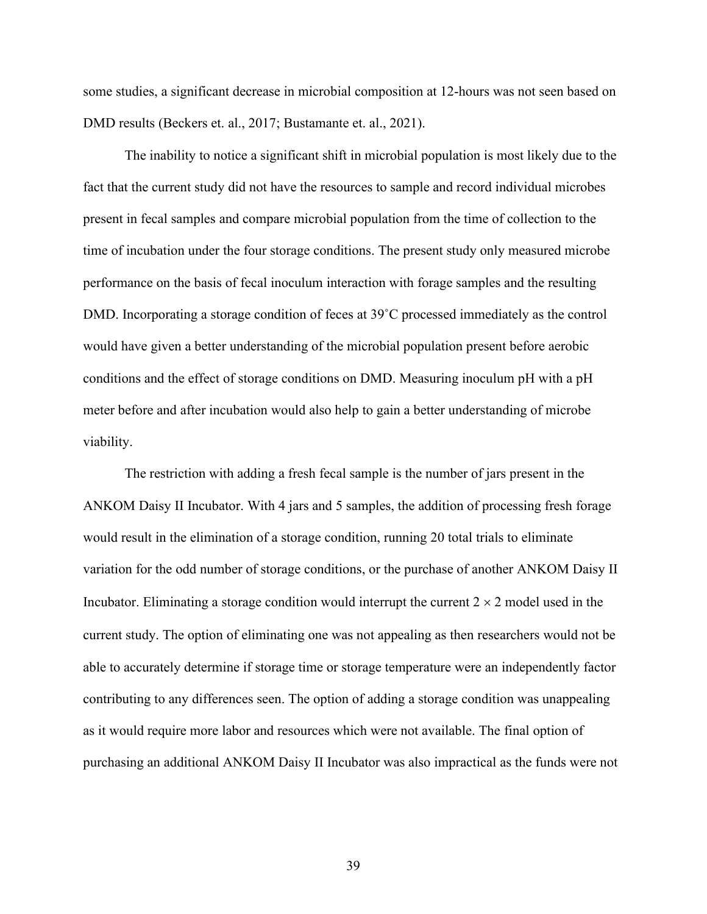some studies, a significant decrease in microbial composition at 12-hours was not seen based on DMD results (Beckers et. al., 2017; Bustamante et. al., 2021).

The inability to notice a significant shift in microbial population is most likely due to the fact that the current study did not have the resources to sample and record individual microbes present in fecal samples and compare microbial population from the time of collection to the time of incubation under the four storage conditions. The present study only measured microbe performance on the basis of fecal inoculum interaction with forage samples and the resulting DMD. Incorporating a storage condition of feces at 39˚C processed immediately as the control would have given a better understanding of the microbial population present before aerobic conditions and the effect of storage conditions on DMD. Measuring inoculum pH with a pH meter before and after incubation would also help to gain a better understanding of microbe viability.

The restriction with adding a fresh fecal sample is the number of jars present in the ANKOM Daisy II Incubator. With 4 jars and 5 samples, the addition of processing fresh forage would result in the elimination of a storage condition, running 20 total trials to eliminate variation for the odd number of storage conditions, or the purchase of another ANKOM Daisy II Incubator. Eliminating a storage condition would interrupt the current  $2 \times 2$  model used in the current study. The option of eliminating one was not appealing as then researchers would not be able to accurately determine if storage time or storage temperature were an independently factor contributing to any differences seen. The option of adding a storage condition was unappealing as it would require more labor and resources which were not available. The final option of purchasing an additional ANKOM Daisy II Incubator was also impractical as the funds were not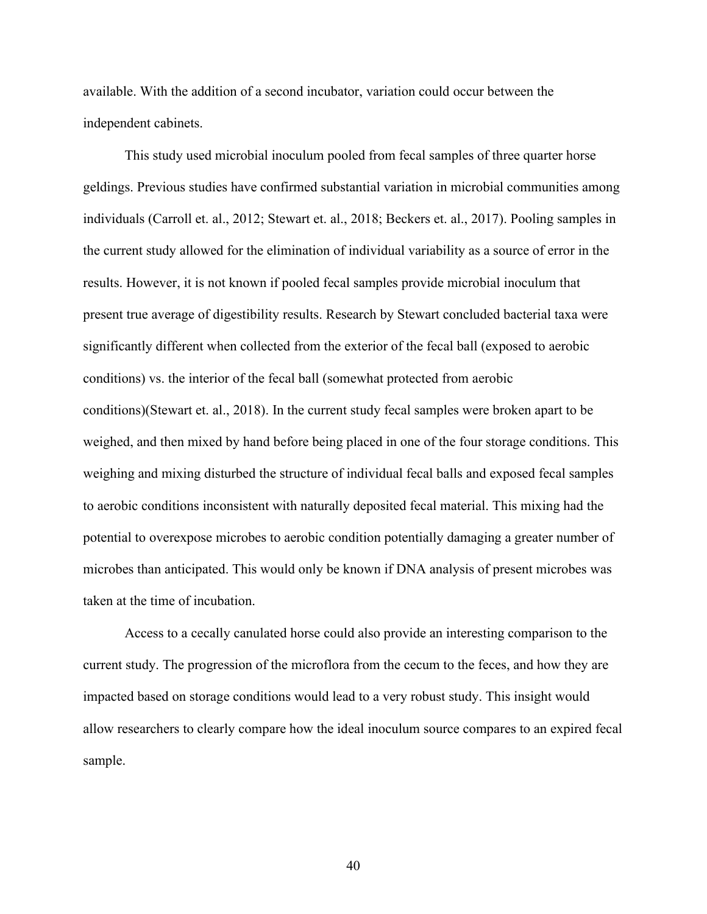available. With the addition of a second incubator, variation could occur between the independent cabinets.

This study used microbial inoculum pooled from fecal samples of three quarter horse geldings. Previous studies have confirmed substantial variation in microbial communities among individuals (Carroll et. al., 2012; Stewart et. al., 2018; Beckers et. al., 2017). Pooling samples in the current study allowed for the elimination of individual variability as a source of error in the results. However, it is not known if pooled fecal samples provide microbial inoculum that present true average of digestibility results. Research by Stewart concluded bacterial taxa were significantly different when collected from the exterior of the fecal ball (exposed to aerobic conditions) vs. the interior of the fecal ball (somewhat protected from aerobic conditions)(Stewart et. al., 2018). In the current study fecal samples were broken apart to be weighed, and then mixed by hand before being placed in one of the four storage conditions. This weighing and mixing disturbed the structure of individual fecal balls and exposed fecal samples to aerobic conditions inconsistent with naturally deposited fecal material. This mixing had the potential to overexpose microbes to aerobic condition potentially damaging a greater number of microbes than anticipated. This would only be known if DNA analysis of present microbes was taken at the time of incubation.

Access to a cecally canulated horse could also provide an interesting comparison to the current study. The progression of the microflora from the cecum to the feces, and how they are impacted based on storage conditions would lead to a very robust study. This insight would allow researchers to clearly compare how the ideal inoculum source compares to an expired fecal sample.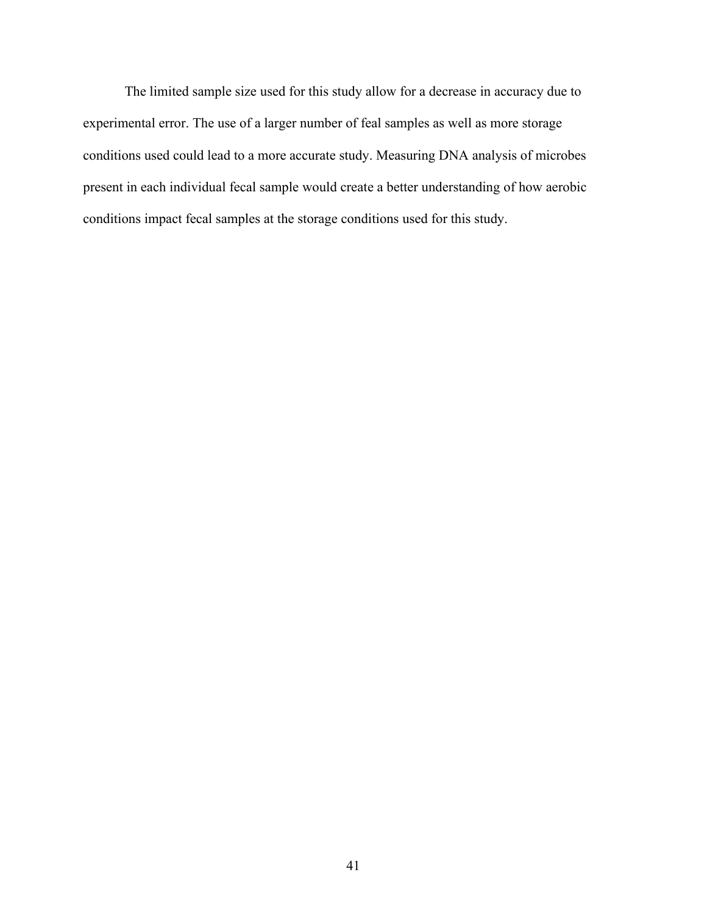The limited sample size used for this study allow for a decrease in accuracy due to experimental error. The use of a larger number of feal samples as well as more storage conditions used could lead to a more accurate study. Measuring DNA analysis of microbes present in each individual fecal sample would create a better understanding of how aerobic conditions impact fecal samples at the storage conditions used for this study.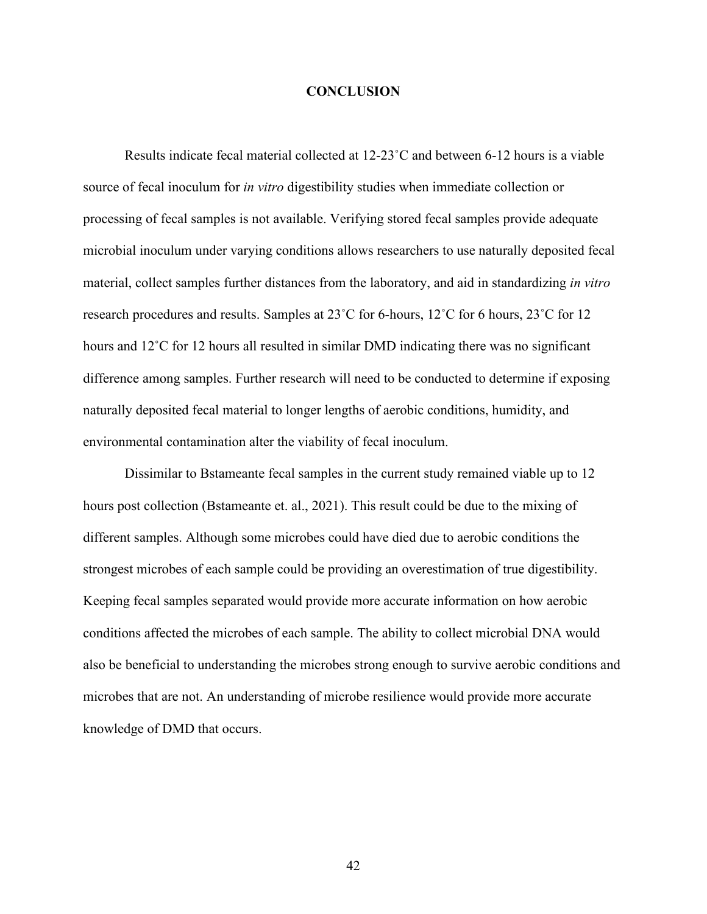#### **CONCLUSION**

Results indicate fecal material collected at 12-23˚C and between 6-12 hours is a viable source of fecal inoculum for *in vitro* digestibility studies when immediate collection or processing of fecal samples is not available. Verifying stored fecal samples provide adequate microbial inoculum under varying conditions allows researchers to use naturally deposited fecal material, collect samples further distances from the laboratory, and aid in standardizing *in vitro* research procedures and results. Samples at 23˚C for 6-hours, 12˚C for 6 hours, 23˚C for 12 hours and 12<sup>°</sup>C for 12 hours all resulted in similar DMD indicating there was no significant difference among samples. Further research will need to be conducted to determine if exposing naturally deposited fecal material to longer lengths of aerobic conditions, humidity, and environmental contamination alter the viability of fecal inoculum.

Dissimilar to Bstameante fecal samples in the current study remained viable up to 12 hours post collection (Bstameante et. al., 2021). This result could be due to the mixing of different samples. Although some microbes could have died due to aerobic conditions the strongest microbes of each sample could be providing an overestimation of true digestibility. Keeping fecal samples separated would provide more accurate information on how aerobic conditions affected the microbes of each sample. The ability to collect microbial DNA would also be beneficial to understanding the microbes strong enough to survive aerobic conditions and microbes that are not. An understanding of microbe resilience would provide more accurate knowledge of DMD that occurs.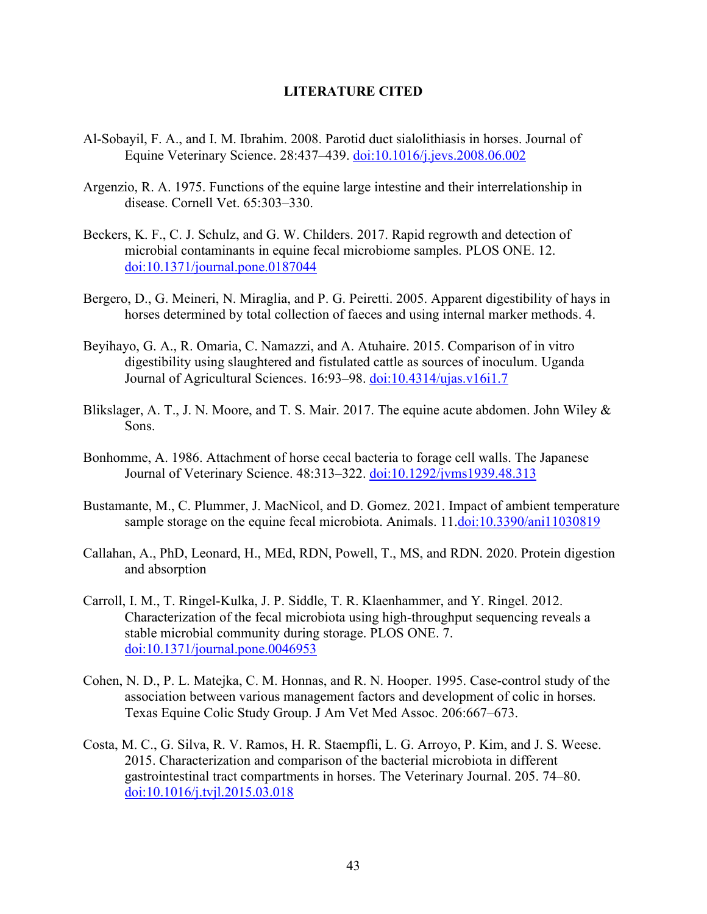#### **LITERATURE CITED**

- Al-Sobayil, F. A., and I. M. Ibrahim. 2008. Parotid duct sialolithiasis in horses. Journal of Equine Veterinary Science. 28:437–439. [doi:10.1016/j.jevs.2008.06.002](https://doi.org/10.1016/j.jevs.2008.06.002)
- Argenzio, R. A. 1975. Functions of the equine large intestine and their interrelationship in disease. Cornell Vet. 65:303–330.
- Beckers, K. F., C. J. Schulz, and G. W. Childers. 2017. Rapid regrowth and detection of microbial contaminants in equine fecal microbiome samples. PLOS ONE. 12. [doi:10.1371/journal.pone.0187044](https://doi.org/10.1371/journal.pone.0187044)
- Bergero, D., G. Meineri, N. Miraglia, and P. G. Peiretti. 2005. Apparent digestibility of hays in horses determined by total collection of faeces and using internal marker methods. 4.
- Beyihayo, G. A., R. Omaria, C. Namazzi, and A. Atuhaire. 2015. Comparison of in vitro digestibility using slaughtered and fistulated cattle as sources of inoculum. Uganda Journal of Agricultural Sciences. 16:93–98. [doi:10.4314/ujas.v16i1.7](https://doi.org/10.4314/ujas.v16i1.7)
- Blikslager, A. T., J. N. Moore, and T. S. Mair. 2017. The equine acute abdomen. John Wiley & Sons.
- Bonhomme, A. 1986. Attachment of horse cecal bacteria to forage cell walls. The Japanese Journal of Veterinary Science. 48:313–322. [doi:10.1292/jvms1939.48.313](https://doi.org/10.1292/jvms1939.48.313)
- Bustamante, M., C. Plummer, J. MacNicol, and D. Gomez. 2021. Impact of ambient temperature sample storage on the equine fecal microbiota. Animals. 11[.doi:10.3390/ani11030819](https://doi.org/10.3390/ani11030819)
- Callahan, A., PhD, Leonard, H., MEd, RDN, Powell, T., MS, and RDN. 2020. Protein digestion and absorption
- Carroll, I. M., T. Ringel-Kulka, J. P. Siddle, T. R. Klaenhammer, and Y. Ringel. 2012. Characterization of the fecal microbiota using high-throughput sequencing reveals a stable microbial community during storage. PLOS ONE. 7. [doi:10.1371/journal.pone.0046953](https://doi.org/10.1371/journal.pone.0046953)
- Cohen, N. D., P. L. Matejka, C. M. Honnas, and R. N. Hooper. 1995. Case-control study of the association between various management factors and development of colic in horses. Texas Equine Colic Study Group. J Am Vet Med Assoc. 206:667–673.
- Costa, M. C., G. Silva, R. V. Ramos, H. R. Staempfli, L. G. Arroyo, P. Kim, and J. S. Weese. 2015. Characterization and comparison of the bacterial microbiota in different gastrointestinal tract compartments in horses. The Veterinary Journal. 205. 74–80. [doi:10.1016/j.tvjl.2015.03.018](https://doi.org/10.1016/j.tvjl.2015.03.018)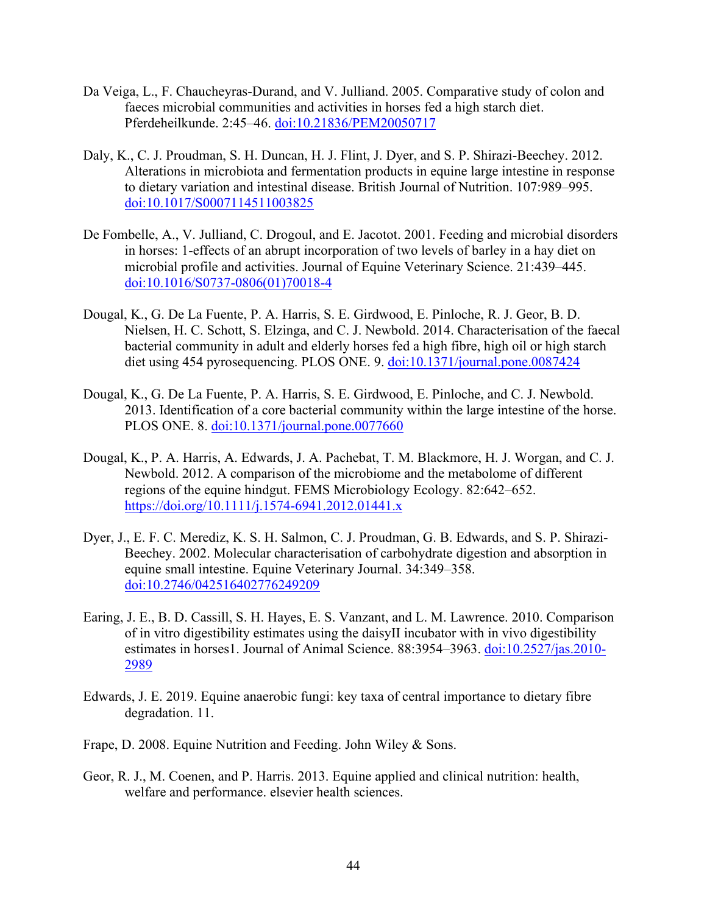- Da Veiga, L., F. Chaucheyras-Durand, and V. Julliand. 2005. Comparative study of colon and faeces microbial communities and activities in horses fed a high starch diet. Pferdeheilkunde. 2:45–46. [doi:10.21836/PEM20050717](https://doi.org/10.21836/PEM20050717)
- Daly, K., C. J. Proudman, S. H. Duncan, H. J. Flint, J. Dyer, and S. P. Shirazi-Beechey. 2012. Alterations in microbiota and fermentation products in equine large intestine in response to dietary variation and intestinal disease. British Journal of Nutrition. 107:989–995. [doi:10.1017/S0007114511003825](https://doi.org/10.1017/S0007114511003825)
- De Fombelle, A., V. Julliand, C. Drogoul, and E. Jacotot. 2001. Feeding and microbial disorders in horses: 1-effects of an abrupt incorporation of two levels of barley in a hay diet on microbial profile and activities. Journal of Equine Veterinary Science. 21:439–445. [doi:10.1016/S0737-0806\(01\)70018-4](https://doi.org/10.1016/S0737-0806(01)70018-4)
- Dougal, K., G. De La Fuente, P. A. Harris, S. E. Girdwood, E. Pinloche, R. J. Geor, B. D. Nielsen, H. C. Schott, S. Elzinga, and C. J. Newbold. 2014. Characterisation of the faecal bacterial community in adult and elderly horses fed a high fibre, high oil or high starch diet using 454 pyrosequencing. PLOS ONE. 9. [doi:10.1371/journal.pone.0087424](https://doi.org/10.1371/journal.pone.0087424)
- Dougal, K., G. De La Fuente, P. A. Harris, S. E. Girdwood, E. Pinloche, and C. J. Newbold. 2013. Identification of a core bacterial community within the large intestine of the horse. PLOS ONE. 8. [doi:10.1371/journal.pone.0077660](https://doi.org/10.1371/journal.pone.0077660)
- Dougal, K., P. A. Harris, A. Edwards, J. A. Pachebat, T. M. Blackmore, H. J. Worgan, and C. J. Newbold. 2012. A comparison of the microbiome and the metabolome of different regions of the equine hindgut. FEMS Microbiology Ecology. 82:642–652. <https://doi.org/10.1111/j.1574-6941.2012.01441.x>
- Dyer, J., E. F. C. Merediz, K. S. H. Salmon, C. J. Proudman, G. B. Edwards, and S. P. Shirazi-Beechey. 2002. Molecular characterisation of carbohydrate digestion and absorption in equine small intestine. Equine Veterinary Journal. 34:349–358. [doi:10.2746/042516402776249209](https://doi.org/10.2746/042516402776249209)
- Earing, J. E., B. D. Cassill, S. H. Hayes, E. S. Vanzant, and L. M. Lawrence. 2010. Comparison of in vitro digestibility estimates using the daisyII incubator with in vivo digestibility estimates in horses1. Journal of Animal Science. 88:3954–3963. [doi:10.2527/jas.2010-](https://doi.org/10.2527/jas.2010-2989) [2989](https://doi.org/10.2527/jas.2010-2989)
- Edwards, J. E. 2019. Equine anaerobic fungi: key taxa of central importance to dietary fibre degradation. 11.
- Frape, D. 2008. Equine Nutrition and Feeding. John Wiley & Sons.
- Geor, R. J., M. Coenen, and P. Harris. 2013. Equine applied and clinical nutrition: health, welfare and performance. elsevier health sciences.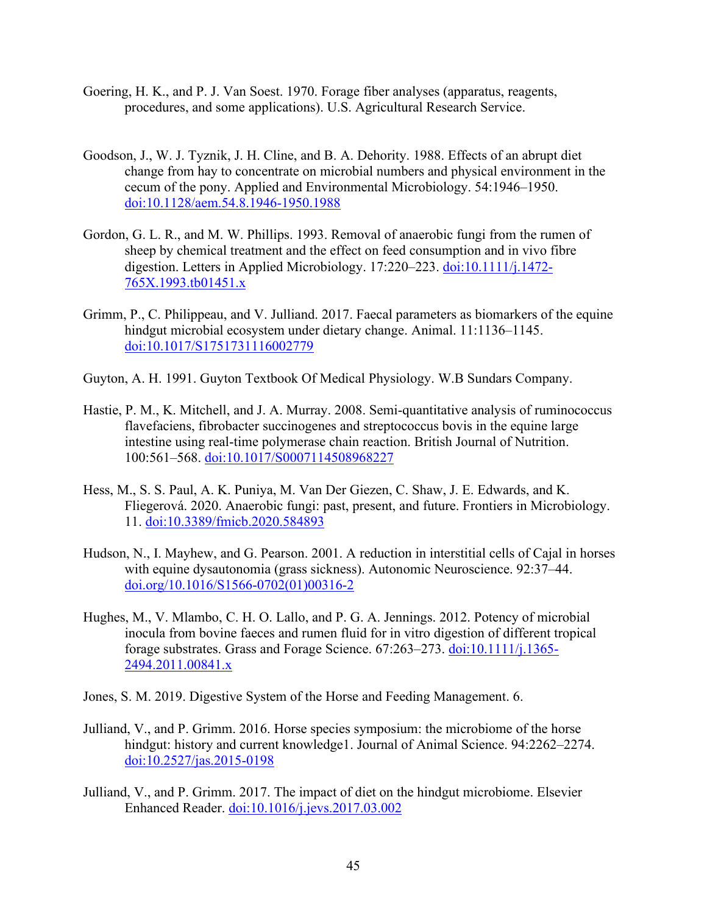- Goering, H. K., and P. J. Van Soest. 1970. Forage fiber analyses (apparatus, reagents, procedures, and some applications). U.S. Agricultural Research Service.
- Goodson, J., W. J. Tyznik, J. H. Cline, and B. A. Dehority. 1988. Effects of an abrupt diet change from hay to concentrate on microbial numbers and physical environment in the cecum of the pony. Applied and Environmental Microbiology. 54:1946–1950. [doi:10.1128/aem.54.8.1946-1950.1988](https://doi.org/10.1128/aem.54.8.1946-1950.1988)
- Gordon, G. L. R., and M. W. Phillips. 1993. Removal of anaerobic fungi from the rumen of sheep by chemical treatment and the effect on feed consumption and in vivo fibre digestion. Letters in Applied Microbiology. 17:220–223. [doi:10.1111/j.1472-](https://doi.org/10.1111/j.1472-765X.1993.tb01451.x) [765X.1993.tb01451.x](https://doi.org/10.1111/j.1472-765X.1993.tb01451.x)
- Grimm, P., C. Philippeau, and V. Julliand. 2017. Faecal parameters as biomarkers of the equine hindgut microbial ecosystem under dietary change. Animal. 11:1136–1145. [doi:10.1017/S1751731116002779](https://doi.org/10.1017/S1751731116002779)
- Guyton, A. H. 1991. Guyton Textbook Of Medical Physiology. W.B Sundars Company.
- Hastie, P. M., K. Mitchell, and J. A. Murray. 2008. Semi-quantitative analysis of ruminococcus flavefaciens, fibrobacter succinogenes and streptococcus bovis in the equine large intestine using real-time polymerase chain reaction. British Journal of Nutrition. 100:561–568. [doi:10.1017/S0007114508968227](https://doi.org/10.1017/S0007114508968227)
- Hess, M., S. S. Paul, A. K. Puniya, M. Van Der Giezen, C. Shaw, J. E. Edwards, and K. Fliegerová. 2020. Anaerobic fungi: past, present, and future. Frontiers in Microbiology. 11. [doi:10.3389/fmicb.2020.584893](https://doi.org/10.3389/fmicb.2020.584893)
- Hudson, N., I. Mayhew, and G. Pearson. 2001. A reduction in interstitial cells of Cajal in horses with equine dysautonomia (grass sickness). Autonomic Neuroscience. 92:37–44. doi.org/10.1016/S1566-0702(01)00316-2
- Hughes, M., V. Mlambo, C. H. O. Lallo, and P. G. A. Jennings. 2012. Potency of microbial inocula from bovine faeces and rumen fluid for in vitro digestion of different tropical forage substrates. Grass and Forage Science. 67:263–273. [doi:10.1111/j.1365-](https://doi.org/10.1111/j.1365-2494.2011.00841.x) [2494.2011.00841.x](https://doi.org/10.1111/j.1365-2494.2011.00841.x)
- Jones, S. M. 2019. Digestive System of the Horse and Feeding Management. 6.
- Julliand, V., and P. Grimm. 2016. Horse species symposium: the microbiome of the horse hindgut: history and current knowledge1. Journal of Animal Science. 94:2262–2274. [doi:10.2527/jas.2015-0198](https://doi.org/10.2527/jas.2015-0198)
- Julliand, V., and P. Grimm. 2017. The impact of diet on the hindgut microbiome. Elsevier Enhanced Reader. [doi:10.1016/j.jevs.2017.03.002](https://doi.org/10.1016/j.jevs.2017.03.002)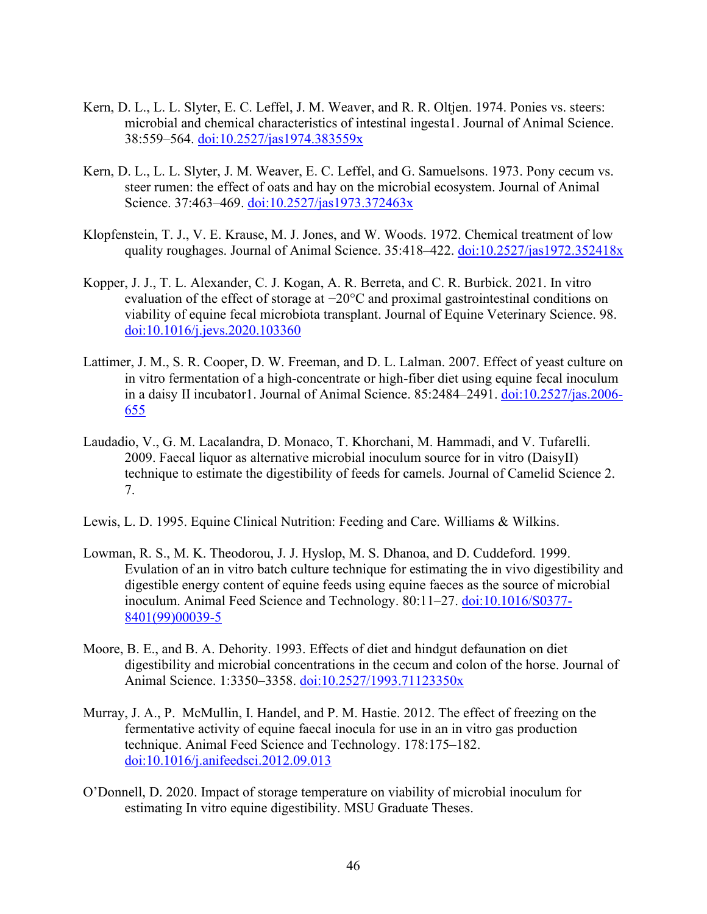- Kern, D. L., L. L. Slyter, E. C. Leffel, J. M. Weaver, and R. R. Oltjen. 1974. Ponies vs. steers: microbial and chemical characteristics of intestinal ingesta1. Journal of Animal Science. 38:559–564. [doi:10.2527/jas1974.383559x](https://doi.org/10.2527/jas1974.383559x)
- Kern, D. L., L. L. Slyter, J. M. Weaver, E. C. Leffel, and G. Samuelsons. 1973. Pony cecum vs. steer rumen: the effect of oats and hay on the microbial ecosystem. Journal of Animal Science. 37:463-469. [doi:10.2527/jas1973.372463x](https://doi.org/10.2527/jas1973.372463x)
- Klopfenstein, T. J., V. E. Krause, M. J. Jones, and W. Woods. 1972. Chemical treatment of low quality roughages. Journal of Animal Science. 35:418-422. [doi:10.2527/jas1972.352418x](https://doi.org/10.2527/jas1972.352418x)
- Kopper, J. J., T. L. Alexander, C. J. Kogan, A. R. Berreta, and C. R. Burbick. 2021. In vitro evaluation of the effect of storage at −20°C and proximal gastrointestinal conditions on viability of equine fecal microbiota transplant. Journal of Equine Veterinary Science. 98. [doi:10.1016/j.jevs.2020.103360](https://doi.org/10.1016/j.jevs.2020.103360)
- Lattimer, J. M., S. R. Cooper, D. W. Freeman, and D. L. Lalman. 2007. Effect of yeast culture on in vitro fermentation of a high-concentrate or high-fiber diet using equine fecal inoculum in a daisy II incubator1. Journal of Animal Science. 85:2484–2491. [doi:10.2527/jas.2006-](https://doi.org/10.2527/jas.2006-655) [655](https://doi.org/10.2527/jas.2006-655)
- Laudadio, V., G. M. Lacalandra, D. Monaco, T. Khorchani, M. Hammadi, and V. Tufarelli. 2009. Faecal liquor as alternative microbial inoculum source for in vitro (DaisyII) technique to estimate the digestibility of feeds for camels. Journal of Camelid Science 2. 7.
- Lewis, L. D. 1995. Equine Clinical Nutrition: Feeding and Care. Williams & Wilkins.
- Lowman, R. S., M. K. Theodorou, J. J. Hyslop, M. S. Dhanoa, and D. Cuddeford. 1999. Evulation of an in vitro batch culture technique for estimating the in vivo digestibility and digestible energy content of equine feeds using equine faeces as the source of microbial inoculum. Animal Feed Science and Technology. 80:11–27. [doi:10.1016/S0377-](https://doi.org/10.1016/S0377-8401(99)00039-5) [8401\(99\)00039-5](https://doi.org/10.1016/S0377-8401(99)00039-5)
- Moore, B. E., and B. A. Dehority. 1993. Effects of diet and hindgut defaunation on diet digestibility and microbial concentrations in the cecum and colon of the horse. Journal of Animal Science. 1:3350–3358. [doi:10.2527/1993.71123350x](https://doi.org/10.2527/1993.71123350x)
- Murray, J. A., P. McMullin, I. Handel, and P. M. Hastie. 2012. The effect of freezing on the fermentative activity of equine faecal inocula for use in an in vitro gas production technique. Animal Feed Science and Technology. 178:175–182. [doi:10.1016/j.anifeedsci.2012.09.013](https://doi.org/10.1016/j.anifeedsci.2012.09.013)
- O'Donnell, D. 2020. Impact of storage temperature on viability of microbial inoculum for estimating In vitro equine digestibility. MSU Graduate Theses.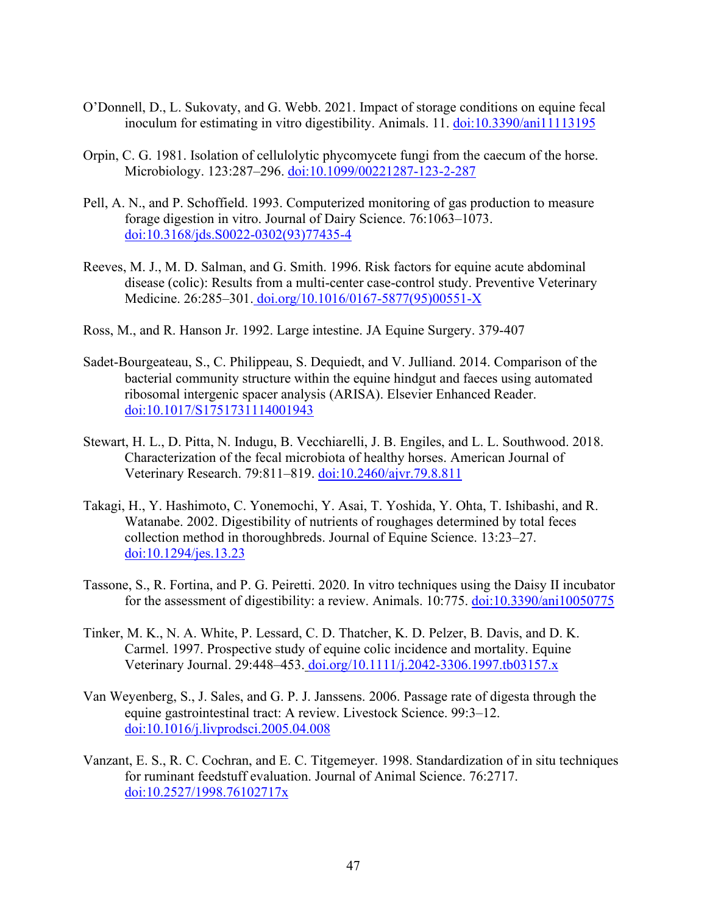- O'Donnell, D., L. Sukovaty, and G. Webb. 2021. Impact of storage conditions on equine fecal inoculum for estimating in vitro digestibility. Animals. 11. [doi:10.3390/ani11113195](https://doi.org/10.3390/ani11113195)
- Orpin, C. G. 1981. Isolation of cellulolytic phycomycete fungi from the caecum of the horse. Microbiology. 123:287-296. [doi:10.1099/00221287-123-2-287](https://doi.org/10.1099/00221287-123-2-287)
- Pell, A. N., and P. Schoffield. 1993. Computerized monitoring of gas production to measure forage digestion in vitro. Journal of Dairy Science. 76:1063–1073. [doi:10.3168/jds.S0022-0302\(93\)77435-4](https://doi.org/10.3168/jds.S0022-0302(93)77435-4)
- Reeves, M. J., M. D. Salman, and G. Smith. 1996. Risk factors for equine acute abdominal disease (colic): Results from a multi-center case-control study. Preventive Veterinary Medicine. 26:285–301. doi.org/10.1016/0167-5877(95)00551-X
- Ross, M., and R. Hanson Jr. 1992. Large intestine. JA Equine Surgery. 379-407
- Sadet-Bourgeateau, S., C. Philippeau, S. Dequiedt, and V. Julliand. 2014. Comparison of the bacterial community structure within the equine hindgut and faeces using automated ribosomal intergenic spacer analysis (ARISA). Elsevier Enhanced Reader. [doi:10.1017/S1751731114001943](https://doi.org/10.1017/S1751731114001943)
- Stewart, H. L., D. Pitta, N. Indugu, B. Vecchiarelli, J. B. Engiles, and L. L. Southwood. 2018. Characterization of the fecal microbiota of healthy horses. American Journal of Veterinary Research. 79:811–819. [doi:10.2460/ajvr.79.8.811](https://doi.org/10.2460/ajvr.79.8.811)
- Takagi, H., Y. Hashimoto, C. Yonemochi, Y. Asai, T. Yoshida, Y. Ohta, T. Ishibashi, and R. Watanabe. 2002. Digestibility of nutrients of roughages determined by total feces collection method in thoroughbreds. Journal of Equine Science. 13:23–27. [doi:10.1294/jes.13.23](https://doi.org/10.1294/jes.13.23)
- Tassone, S., R. Fortina, and P. G. Peiretti. 2020. In vitro techniques using the Daisy II incubator for the assessment of digestibility: a review. Animals. 10:775. [doi:10.3390/ani10050775](https://doi.org/10.3390/ani10050775)
- Tinker, M. K., N. A. White, P. Lessard, C. D. Thatcher, K. D. Pelzer, B. Davis, and D. K. Carmel. 1997. Prospective study of equine colic incidence and mortality. Equine Veterinary Journal. 29:448–453. doi.org/10.1111/j.2042-3306.1997.tb03157.x
- Van Weyenberg, S., J. Sales, and G. P. J. Janssens. 2006. Passage rate of digesta through the equine gastrointestinal tract: A review. Livestock Science. 99:3–12. [doi:10.1016/j.livprodsci.2005.04.008](https://doi.org/10.1016/j.livprodsci.2005.04.008)
- Vanzant, E. S., R. C. Cochran, and E. C. Titgemeyer. 1998. Standardization of in situ techniques for ruminant feedstuff evaluation. Journal of Animal Science. 76:2717. [doi:10.2527/1998.76102717x](https://doi.org/10.2527/1998.76102717x)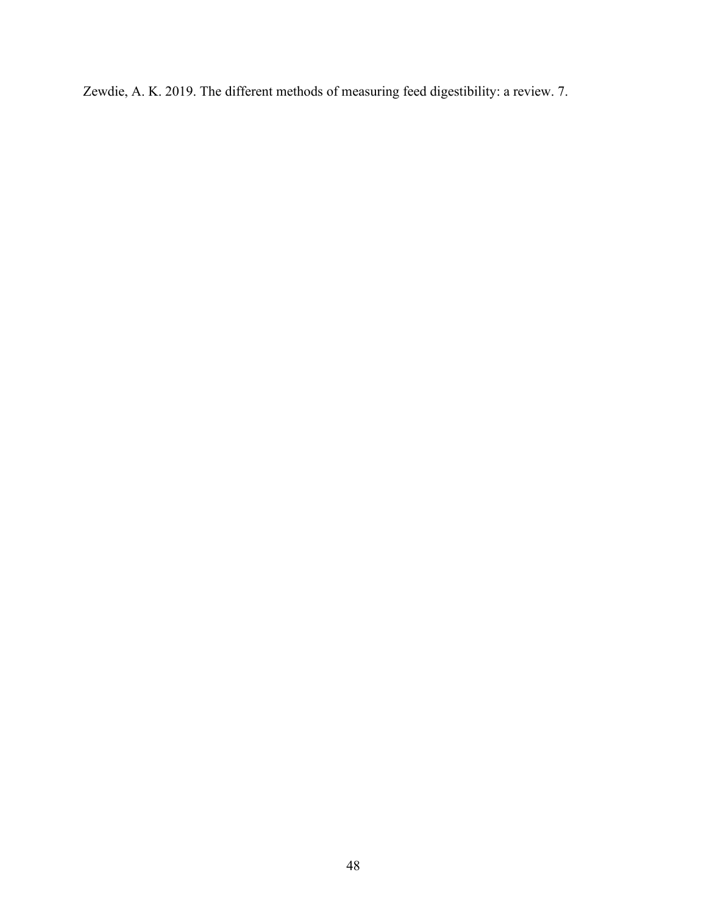Zewdie, A. K. 2019. The different methods of measuring feed digestibility: a review. 7.